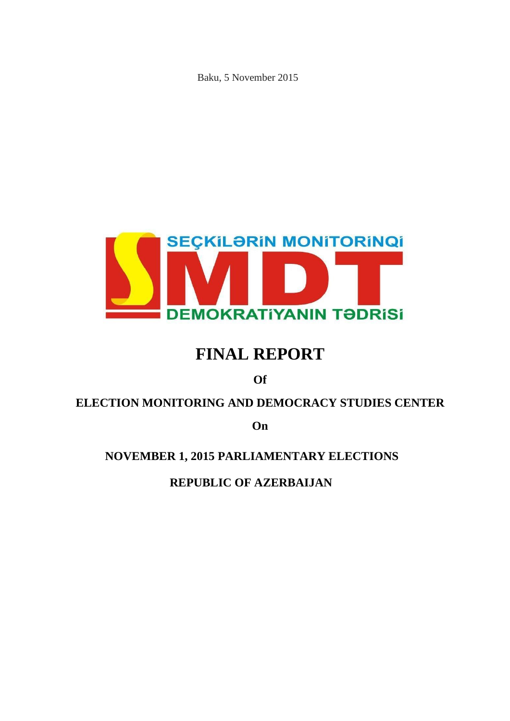Baku, 5 November 2015



# **FINAL REPORT**

**Of**

# **ELECTION MONITORING AND DEMOCRACY STUDIES CENTER**

**On**

# **NOVEMBER 1, 2015 PARLIAMENTARY ELECTIONS**

**REPUBLIC OF AZERBAIJAN**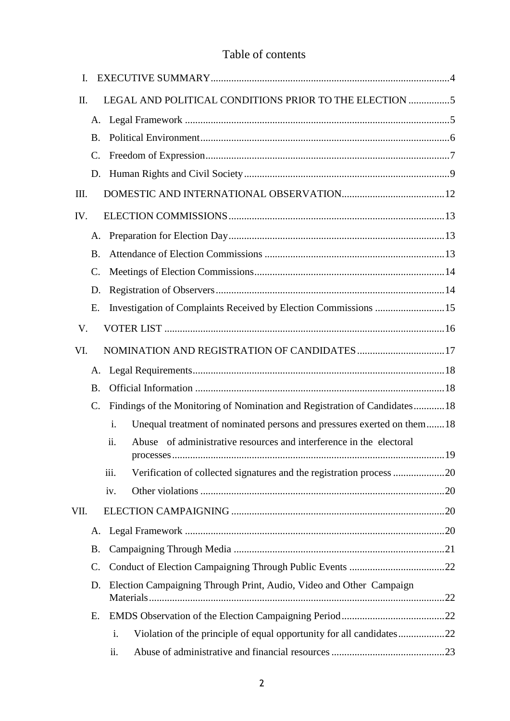# Table of contents

| I.   |                 |                                                                               |    |
|------|-----------------|-------------------------------------------------------------------------------|----|
| Π.   |                 | LEGAL AND POLITICAL CONDITIONS PRIOR TO THE ELECTION 5                        |    |
|      | A.              |                                                                               |    |
|      | <b>B.</b>       |                                                                               |    |
|      | $\mathcal{C}$ . |                                                                               |    |
|      | D.              |                                                                               |    |
| Ш.   |                 |                                                                               |    |
| IV.  |                 |                                                                               |    |
|      | A.              |                                                                               |    |
|      | <b>B.</b>       |                                                                               |    |
|      | $\mathcal{C}$ . |                                                                               |    |
|      | D.              |                                                                               |    |
|      | E.              | Investigation of Complaints Received by Election Commissions 15               |    |
| V.   |                 |                                                                               |    |
| VI.  |                 | NOMINATION AND REGISTRATION OF CANDIDATES 17                                  |    |
|      | A.              |                                                                               |    |
|      | <b>B.</b>       |                                                                               |    |
|      | $\mathcal{C}$ . | Findings of the Monitoring of Nomination and Registration of Candidates 18    |    |
|      |                 | Unequal treatment of nominated persons and pressures exerted on them 18<br>i. |    |
|      |                 | ii.<br>Abuse of administrative resources and interference in the electoral    | 19 |
|      |                 | iii.                                                                          |    |
|      |                 | iv.                                                                           |    |
| VII. |                 |                                                                               |    |
|      | A.              |                                                                               |    |
|      | <b>B.</b>       |                                                                               |    |
|      | $\mathcal{C}$ . |                                                                               |    |
|      | D.              | Election Campaigning Through Print, Audio, Video and Other Campaign           |    |
|      |                 |                                                                               |    |
|      | Ε.              |                                                                               |    |
|      |                 | i.                                                                            |    |
|      |                 | ii.                                                                           |    |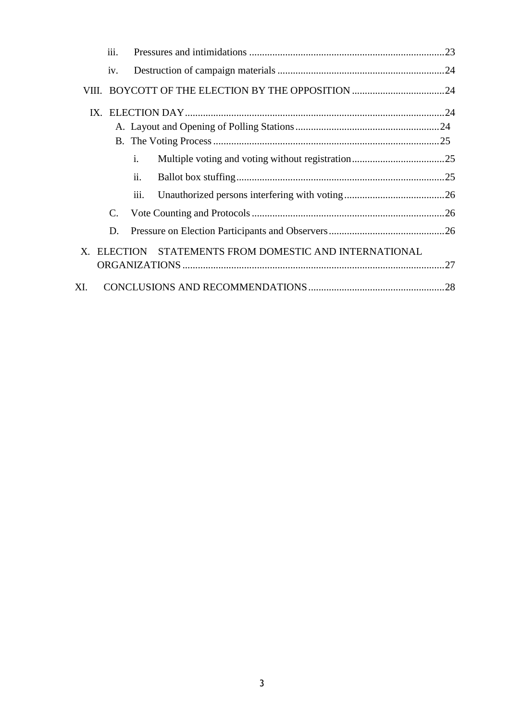|     | iii.                                                   |                       |  |  |  |
|-----|--------------------------------------------------------|-----------------------|--|--|--|
|     | iv.                                                    |                       |  |  |  |
|     |                                                        |                       |  |  |  |
|     |                                                        |                       |  |  |  |
|     |                                                        |                       |  |  |  |
|     |                                                        |                       |  |  |  |
|     |                                                        | $\mathbf{i}$ .        |  |  |  |
|     |                                                        | $\ddot{\mathbf{u}}$ . |  |  |  |
|     |                                                        | $\overline{111}$ .    |  |  |  |
|     | $\mathbf{C}$ .                                         |                       |  |  |  |
|     | D.                                                     |                       |  |  |  |
|     | X. ELECTION STATEMENTS FROM DOMESTIC AND INTERNATIONAL |                       |  |  |  |
|     |                                                        |                       |  |  |  |
| XI. |                                                        |                       |  |  |  |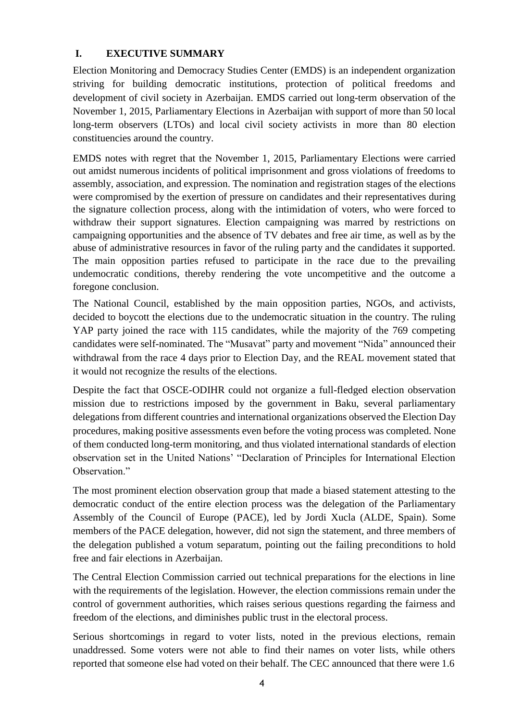#### <span id="page-3-0"></span>**I. EXECUTIVE SUMMARY**

Election Monitoring and Democracy Studies Center (EMDS) is an independent organization striving for building democratic institutions, protection of political freedoms and development of civil society in Azerbaijan. EMDS carried out long-term observation of the November 1, 2015, Parliamentary Elections in Azerbaijan with support of more than 50 local long-term observers (LTOs) and local civil society activists in more than 80 election constituencies around the country.

EMDS notes with regret that the November 1, 2015, Parliamentary Elections were carried out amidst numerous incidents of political imprisonment and gross violations of freedoms to assembly, association, and expression. The nomination and registration stages of the elections were compromised by the exertion of pressure on candidates and their representatives during the signature collection process, along with the intimidation of voters, who were forced to withdraw their support signatures. Election campaigning was marred by restrictions on campaigning opportunities and the absence of TV debates and free air time, as well as by the abuse of administrative resources in favor of the ruling party and the candidates it supported. The main opposition parties refused to participate in the race due to the prevailing undemocratic conditions, thereby rendering the vote uncompetitive and the outcome a foregone conclusion.

The National Council, established by the main opposition parties, NGOs, and activists, decided to boycott the elections due to the undemocratic situation in the country. The ruling YAP party joined the race with 115 candidates, while the majority of the 769 competing candidates were self-nominated. The "Musavat" party and movement "Nida" announced their withdrawal from the race 4 days prior to Election Day, and the REAL movement stated that it would not recognize the results of the elections.

Despite the fact that OSCE-ODIHR could not organize a full-fledged election observation mission due to restrictions imposed by the government in Baku, several parliamentary delegations from different countries and international organizations observed the Election Day procedures, making positive assessments even before the voting process was completed. None of them conducted long-term monitoring, and thus violated international standards of election observation set in the United Nations' "Declaration of Principles for International Election Observation."

The most prominent election observation group that made a biased statement attesting to the democratic conduct of the entire election process was the delegation of the Parliamentary Assembly of the Council of Europe (PACE), led by Jordi Xucla (ALDE, Spain). Some members of the PACE delegation, however, did not sign the statement, and three members of the delegation published a votum separatum, pointing out the failing preconditions to hold free and fair elections in Azerbaijan.

The Central Election Commission carried out technical preparations for the elections in line with the requirements of the legislation. However, the election commissions remain under the control of government authorities, which raises serious questions regarding the fairness and freedom of the elections, and diminishes public trust in the electoral process.

Serious shortcomings in regard to voter lists, noted in the previous elections, remain unaddressed. Some voters were not able to find their names on voter lists, while others reported that someone else had voted on their behalf. The CEC announced that there were 1.6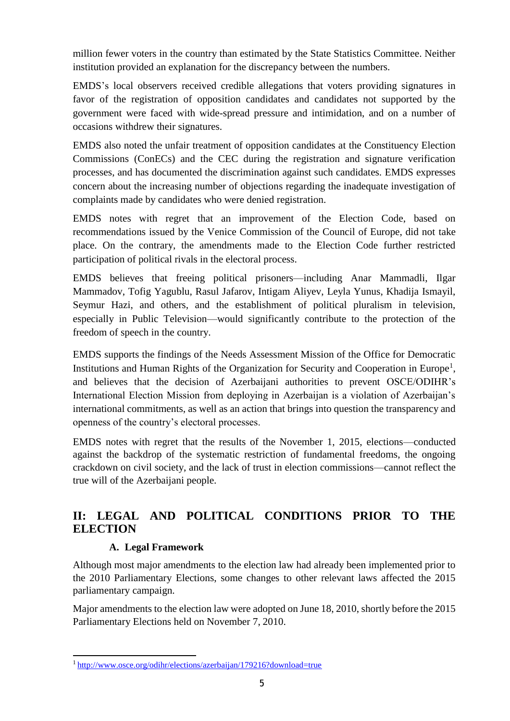million fewer voters in the country than estimated by the State Statistics Committee. Neither institution provided an explanation for the discrepancy between the numbers.

EMDS's local observers received credible allegations that voters providing signatures in favor of the registration of opposition candidates and candidates not supported by the government were faced with wide-spread pressure and intimidation, and on a number of occasions withdrew their signatures.

EMDS also noted the unfair treatment of opposition candidates at the Constituency Election Commissions (ConECs) and the CEC during the registration and signature verification processes, and has documented the discrimination against such candidates. EMDS expresses concern about the increasing number of objections regarding the inadequate investigation of complaints made by candidates who were denied registration.

EMDS notes with regret that an improvement of the Election Code, based on recommendations issued by the Venice Commission of the Council of Europe, did not take place. On the contrary, the amendments made to the Election Code further restricted participation of political rivals in the electoral process.

EMDS believes that freeing political prisoners—including Anar Mammadli, Ilgar Mammadov, Tofig Yagublu, Rasul Jafarov, Intigam Aliyev, Leyla Yunus, Khadija Ismayil, Seymur Hazi, and others, and the establishment of political pluralism in television, especially in Public Television—would significantly contribute to the protection of the freedom of speech in the country.

EMDS supports the findings of the Needs Assessment Mission of the Office for Democratic Institutions and Human Rights of the Organization for Security and Cooperation in Europe<sup>1</sup>, and believes that the decision of Azerbaijani authorities to prevent OSCE/ODIHR's International Election Mission from deploying in Azerbaijan is a violation of Azerbaijan's international commitments, as well as an action that brings into question the transparency and openness of the country's electoral processes.

EMDS notes with regret that the results of the November 1, 2015, elections—conducted against the backdrop of the systematic restriction of fundamental freedoms, the ongoing crackdown on civil society, and the lack of trust in election commissions—cannot reflect the true will of the Azerbaijani people.

# <span id="page-4-0"></span>**II: LEGAL AND POLITICAL CONDITIONS PRIOR TO THE ELECTION**

# **A. Legal Framework**

<span id="page-4-1"></span>Although most major amendments to the election law had already been implemented prior to the 2010 Parliamentary Elections, some changes to other relevant laws affected the 2015 parliamentary campaign.

Major amendments to the election law were adopted on June 18, 2010, shortly before the 2015 Parliamentary Elections held on November 7, 2010.

<sup>1</sup><http://www.osce.org/odihr/elections/azerbaijan/179216?download=true>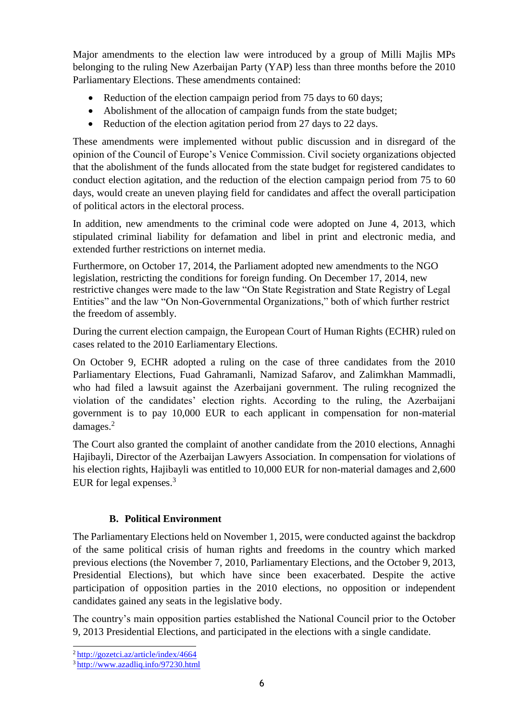Major amendments to the election law were introduced by a group of Milli Majlis MPs belonging to the ruling New Azerbaijan Party (YAP) less than three months before the 2010 Parliamentary Elections. These amendments contained:

- Reduction of the election campaign period from 75 days to 60 days;
- Abolishment of the allocation of campaign funds from the state budget;
- Reduction of the election agitation period from 27 days to 22 days.

These amendments were implemented without public discussion and in disregard of the opinion of the Council of Europe's Venice Commission. Civil society organizations objected that the abolishment of the funds allocated from the state budget for registered candidates to conduct election agitation, and the reduction of the election campaign period from 75 to 60 days, would create an uneven playing field for candidates and affect the overall participation of political actors in the electoral process.

In addition, new amendments to the criminal code were adopted on June 4, 2013, which stipulated criminal liability for defamation and libel in print and electronic media, and extended further restrictions on internet media.

Furthermore, on October 17, 2014, the Parliament adopted new amendments to the NGO legislation, restricting the conditions for foreign funding. On December 17, 2014, new restrictive changes were made to the law "On State Registration and State Registry of Legal Entities" and the law "On Non-Governmental Organizations," both of which further restrict the freedom of assembly.

During the current election campaign, the European Court of Human Rights (ECHR) ruled on cases related to the 2010 Earliamentary Elections.

On October 9, ECHR adopted a ruling on the case of three candidates from the 2010 Parliamentary Elections, Fuad Gahramanli, Namizad Safarov, and Zalimkhan Mammadli, who had filed a lawsuit against the Azerbaijani government. The ruling recognized the violation of the candidates' election rights. According to the ruling, the Azerbaijani government is to pay 10,000 EUR to each applicant in compensation for non-material damages.<sup>2</sup>

The Court also granted the complaint of another candidate from the 2010 elections, Annaghi Hajibayli, Director of the Azerbaijan Lawyers Association. In compensation for violations of his election rights, Hajibayli was entitled to 10,000 EUR for non-material damages and 2,600 EUR for legal expenses.<sup>3</sup>

# **B. Political Environment**

<span id="page-5-0"></span>The Parliamentary Elections held on November 1, 2015, were conducted against the backdrop of the same political crisis of human rights and freedoms in the country which marked previous elections (the November 7, 2010, Parliamentary Elections, and the October 9, 2013, Presidential Elections), but which have since been exacerbated. Despite the active participation of opposition parties in the 2010 elections, no opposition or independent candidates gained any seats in the legislative body.

The country's main opposition parties established the National Council prior to the October 9, 2013 Presidential Elections, and participated in the elections with a single candidate.

<sup>2</sup><http://gozetci.az/article/index/4664>

<sup>3</sup> <http://www.azadliq.info/97230.html>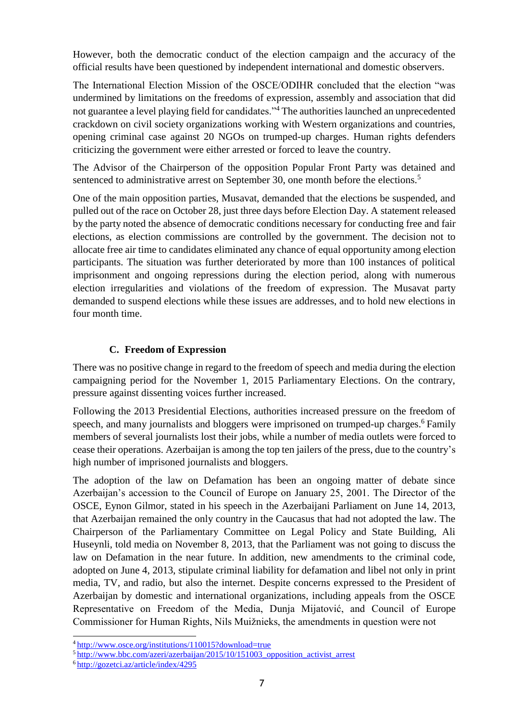However, both the democratic conduct of the election campaign and the accuracy of the official results have been questioned by independent international and domestic observers.

The International Election Mission of the OSCE/ODIHR concluded that the election "was undermined by limitations on the freedoms of expression, assembly and association that did not guarantee a level playing field for candidates."<sup>4</sup> The authorities launched an unprecedented crackdown on civil society organizations working with Western organizations and countries, opening criminal case against 20 NGOs on trumped-up charges. Human rights defenders criticizing the government were either arrested or forced to leave the country.

The Advisor of the Chairperson of the opposition Popular Front Party was detained and sentenced to administrative arrest on September 30, one month before the elections.<sup>5</sup>

One of the main opposition parties, Musavat, demanded that the elections be suspended, and pulled out of the race on October 28, just three days before Election Day. A statement released by the party noted the absence of democratic conditions necessary for conducting free and fair elections, as election commissions are controlled by the government. The decision not to allocate free air time to candidates eliminated any chance of equal opportunity among election participants. The situation was further deteriorated by more than 100 instances of political imprisonment and ongoing repressions during the election period, along with numerous election irregularities and violations of the freedom of expression. The Musavat party demanded to suspend elections while these issues are addresses, and to hold new elections in four month time.

#### **C. Freedom of Expression**

<span id="page-6-0"></span>There was no positive change in regard to the freedom of speech and media during the election campaigning period for the November 1, 2015 Parliamentary Elections. On the contrary, pressure against dissenting voices further increased.

Following the 2013 Presidential Elections, authorities increased pressure on the freedom of speech, and many journalists and bloggers were imprisoned on trumped-up charges.<sup>6</sup>Family members of several journalists lost their jobs, while a number of media outlets were forced to cease their operations. Azerbaijan is among the top ten jailers of the press, due to the country's high number of imprisoned journalists and bloggers.

The adoption of the law on Defamation has been an ongoing matter of debate since Azerbaijan's accession to the Council of Europe on January 25, 2001. The Director of the OSCE, Eynon Gilmor, stated in his speech in the Azerbaijani Parliament on June 14, 2013, that Azerbaijan remained the only country in the Caucasus that had not adopted the law. The Chairperson of the Parliamentary Committee on Legal Policy and State Building, Ali Huseynli, told media on November 8, 2013, that the Parliament was not going to discuss the law on Defamation in the near future. In addition, new amendments to the criminal code, adopted on June 4, 2013, stipulate criminal liability for defamation and libel not only in print media, TV, and radio, but also the internet. Despite concerns expressed to the President of Azerbaijan by domestic and international organizations, including appeals from the OSCE Representative on Freedom of the Media, Dunja Mijatović, and Council of Europe Commissioner for Human Rights, Nils Muižnieks, the amendments in question were not

<sup>4</sup><http://www.osce.org/institutions/110015?download=true>

<sup>&</sup>lt;sup>5</sup>[http://www.bbc.com/azeri/azerbaijan/2015/10/151003\\_opposition\\_activist\\_arrest](http://www.bbc.com/azeri/azerbaijan/2015/10/151003_opposition_activist_arrest)

<sup>6</sup> <http://gozetci.az/article/index/4295>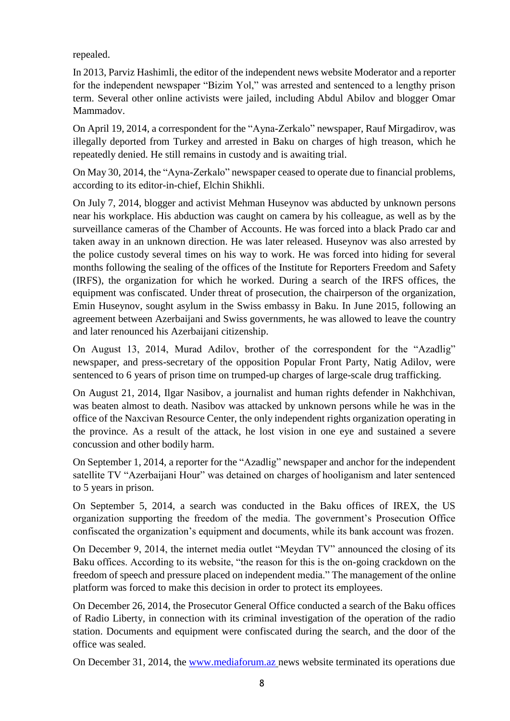repealed.

In 2013, Parviz Hashimli, the editor of the independent news website Moderator and a reporter for the independent newspaper "Bizim Yol," was arrested and sentenced to a lengthy prison term. Several other online activists were jailed, including Abdul Abilov and blogger Omar Mammadov.

On April 19, 2014, a correspondent for the "Ayna-Zerkalo" newspaper, Rauf Mirgadirov, was illegally deported from Turkey and arrested in Baku on charges of high treason, which he repeatedly denied. He still remains in custody and is awaiting trial.

On May 30, 2014, the "Ayna-Zerkalo" newspaper ceased to operate due to financial problems, according to its editor-in-chief, Elchin Shikhli.

On July 7, 2014, blogger and activist Mehman Huseynov was abducted by unknown persons near his workplace. His abduction was caught on camera by his colleague, as well as by the surveillance cameras of the Chamber of Accounts. He was forced into a black Prado car and taken away in an unknown direction. He was later released. Huseynov was also arrested by the police custody several times on his way to work. He was forced into hiding for several months following the sealing of the offices of the Institute for Reporters Freedom and Safety (IRFS), the organization for which he worked. During a search of the IRFS offices, the equipment was confiscated. Under threat of prosecution, the chairperson of the organization, Emin Huseynov, sought asylum in the Swiss embassy in Baku. In June 2015, following an agreement between Azerbaijani and Swiss governments, he was allowed to leave the country and later renounced his Azerbaijani citizenship.

On August 13, 2014, Murad Adilov, brother of the correspondent for the "Azadlig" newspaper, and press-secretary of the opposition Popular Front Party, Natig Adilov, were sentenced to 6 years of prison time on trumped-up charges of large-scale drug trafficking.

On August 21, 2014, Ilgar Nasibov, a journalist and human rights defender in Nakhchivan, was beaten almost to death. Nasibov was attacked by unknown persons while he was in the office of the Naxcivan Resource Center, the only independent rights organization operating in the province. As a result of the attack, he lost vision in one eye and sustained a severe concussion and other bodily harm.

On September 1, 2014, a reporter for the "Azadlig" newspaper and anchor for the independent satellite TV "Azerbaijani Hour" was detained on charges of hooliganism and later sentenced to 5 years in prison.

On September 5, 2014, a search was conducted in the Baku offices of IREX, the US organization supporting the freedom of the media. The government's Prosecution Office confiscated the organization's equipment and documents, while its bank account was frozen.

On December 9, 2014, the internet media outlet "Meydan TV" announced the closing of its Baku offices. According to its website, "the reason for this is the on-going crackdown on the freedom of speech and pressure placed on independent media." The management of the online platform was forced to make this decision in order to protect its employees.

On December 26, 2014, the Prosecutor General Office conducted a search of the Baku offices of Radio Liberty, in connection with its criminal investigation of the operation of the radio station. Documents and equipment were confiscated during the search, and the door of the office was sealed.

On December 31, 2014, the [www.mediaforum.az](http://www.mediaforum.az/) news website terminated its operations due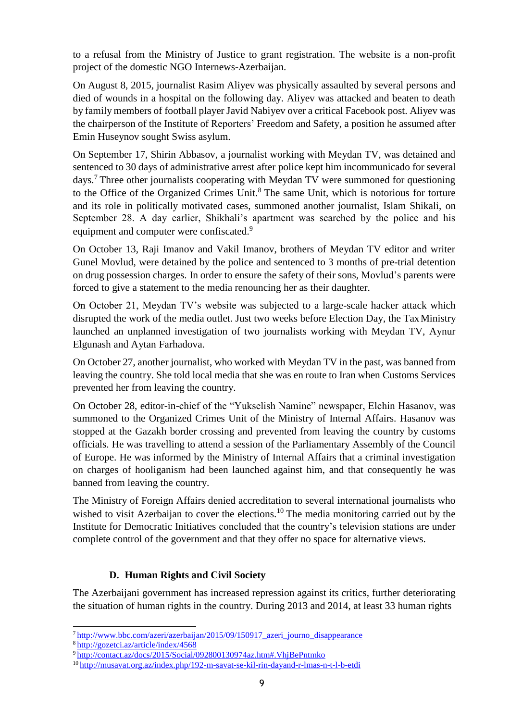to a refusal from the Ministry of Justice to grant registration. The website is a non-profit project of the domestic NGO Internews-Azerbaijan.

On August 8, 2015, journalist Rasim Aliyev was physically assaulted by several persons and died of wounds in a hospital on the following day. Aliyev was attacked and beaten to death by family members of football player Javid Nabiyev over a critical Facebook post. Aliyev was the chairperson of the Institute of Reporters' Freedom and Safety, a position he assumed after Emin Huseynov sought Swiss asylum.

On September 17, Shirin Abbasov, a journalist working with Meydan TV, was detained and sentenced to 30 days of administrative arrest after police kept him incommunicado for several days.<sup>7</sup> Three other journalists cooperating with Meydan TV were summoned for questioning to the Office of the Organized Crimes Unit. $8$  The same Unit, which is notorious for torture and its role in politically motivated cases, summoned another journalist, Islam Shikali, on September 28. A day earlier, Shikhali's apartment was searched by the police and his equipment and computer were confiscated.<sup>9</sup>

On October 13, Raji Imanov and Vakil Imanov, brothers of Meydan TV editor and writer Gunel Movlud, were detained by the police and sentenced to 3 months of pre-trial detention on drug possession charges. In order to ensure the safety of their sons, Movlud's parents were forced to give a statement to the media renouncing her as their daughter.

On October 21, Meydan TV's website was subjected to a large-scale hacker attack which disrupted the work of the media outlet. Just two weeks before Election Day, the TaxMinistry launched an unplanned investigation of two journalists working with Meydan TV, Aynur Elgunash and Aytan Farhadova.

On October 27, another journalist, who worked with Meydan TV in the past, was banned from leaving the country. She told local media that she was en route to Iran when Customs Services prevented her from leaving the country.

On October 28, editor-in-chief of the "Yukselish Namine" newspaper, Elchin Hasanov, was summoned to the Organized Crimes Unit of the Ministry of Internal Affairs. Hasanov was stopped at the Gazakh border crossing and prevented from leaving the country by customs officials. He was travelling to attend a session of the Parliamentary Assembly of the Council of Europe. He was informed by the Ministry of Internal Affairs that a criminal investigation on charges of hooliganism had been launched against him, and that consequently he was banned from leaving the country.

The Ministry of Foreign Affairs denied accreditation to several international journalists who wished to visit Azerbaijan to cover the elections.<sup>10</sup> The media monitoring carried out by the Institute for Democratic Initiatives concluded that the country's television stations are under complete control of the government and that they offer no space for alternative views.

#### **D. Human Rights and Civil Society**

<span id="page-8-0"></span>The Azerbaijani government has increased repression against its critics, further deteriorating the situation of human rights in the country. During 2013 and 2014, at least 33 human rights

 $7$ http://www.bbc.com/azeri/azerbaijan/2015/09/150917 azeri journo disappearance

<sup>8</sup><http://gozetci.az/article/index/4568>

<sup>9</sup><http://contact.az/docs/2015/Social/092800130974az.htm#.VhjBePntmko>

<sup>10</sup> <http://musavat.org.az/index.php/192-m-savat-se-kil-rin-dayand-r-lmas-n-t-l-b-etdi>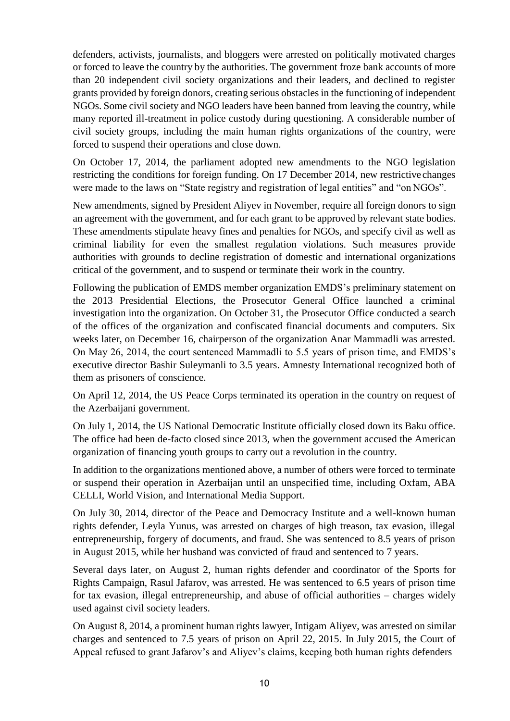defenders, activists, journalists, and bloggers were arrested on politically motivated charges or forced to leave the country by the authorities. The government froze bank accounts of more than 20 independent civil society organizations and their leaders, and declined to register grants provided by foreign donors, creating serious obstacles in the functioning of independent NGOs. Some civil society and NGO leaders have been banned from leaving the country, while many reported ill-treatment in police custody during questioning. A considerable number of civil society groups, including the main human rights organizations of the country, were forced to suspend their operations and close down.

On October 17, 2014, the parliament adopted new amendments to the NGO legislation restricting the conditions for foreign funding. On 17 December 2014, new restrictive changes were made to the laws on "State registry and registration of legal entities" and "on NGOs".

New amendments, signed by President Aliyev in November, require all foreign donors to sign an agreement with the government, and for each grant to be approved by relevant state bodies. These amendments stipulate heavy fines and penalties for NGOs, and specify civil as well as criminal liability for even the smallest regulation violations. Such measures provide authorities with grounds to decline registration of domestic and international organizations critical of the government, and to suspend or terminate their work in the country.

Following the publication of EMDS member organization EMDS's preliminary statement on the 2013 Presidential Elections, the Prosecutor General Office launched a criminal investigation into the organization. On October 31, the Prosecutor Office conducted a search of the offices of the organization and confiscated financial documents and computers. Six weeks later, on December 16, chairperson of the organization Anar Mammadli was arrested. On May 26, 2014, the court sentenced Mammadli to 5.5 years of prison time, and EMDS's executive director Bashir Suleymanli to 3.5 years. Amnesty International recognized both of them as prisoners of conscience.

On April 12, 2014, the US Peace Corps terminated its operation in the country on request of the Azerbaijani government.

On July 1, 2014, the US National Democratic Institute officially closed down its Baku office. The office had been de-facto closed since 2013, when the government accused the American organization of financing youth groups to carry out a revolution in the country.

In addition to the organizations mentioned above, a number of others were forced to terminate or suspend their operation in Azerbaijan until an unspecified time, including Oxfam, ABA CELLI, World Vision, and International Media Support.

On July 30, 2014, director of the Peace and Democracy Institute and a well-known human rights defender, Leyla Yunus, was arrested on charges of high treason, tax evasion, illegal entrepreneurship, forgery of documents, and fraud. She was sentenced to 8.5 years of prison in August 2015, while her husband was convicted of fraud and sentenced to 7 years.

Several days later, on August 2, human rights defender and coordinator of the Sports for Rights Campaign, Rasul Jafarov, was arrested. He was sentenced to 6.5 years of prison time for tax evasion, illegal entrepreneurship, and abuse of official authorities – charges widely used against civil society leaders.

On August 8, 2014, a prominent human rights lawyer, Intigam Aliyev, was arrested on similar charges and sentenced to 7.5 years of prison on April 22, 2015. In July 2015, the Court of Appeal refused to grant Jafarov's and Aliyev's claims, keeping both human rights defenders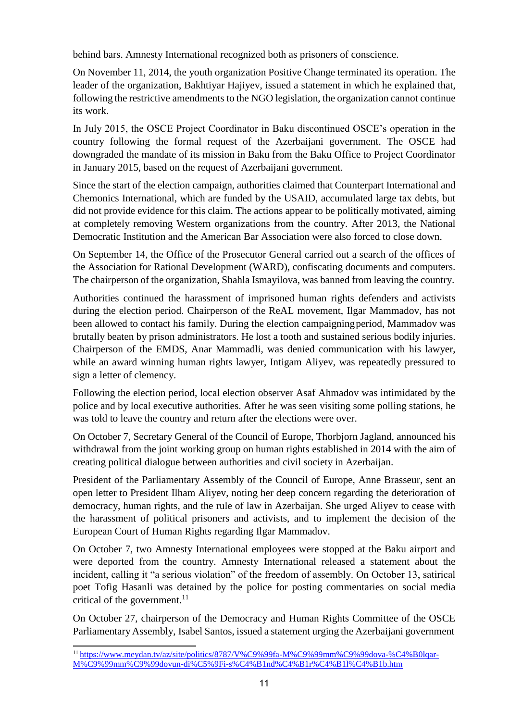behind bars. Amnesty International recognized both as prisoners of conscience.

On November 11, 2014, the youth organization Positive Change terminated its operation. The leader of the organization, Bakhtiyar Hajiyev, issued a statement in which he explained that, following the restrictive amendments to the NGO legislation, the organization cannot continue its work.

In July 2015, the OSCE Project Coordinator in Baku discontinued OSCE's operation in the country following the formal request of the Azerbaijani government. The OSCE had downgraded the mandate of its mission in Baku from the Baku Office to Project Coordinator in January 2015, based on the request of Azerbaijani government.

Since the start of the election campaign, authorities claimed that Counterpart International and Chemonics International, which are funded by the USAID, accumulated large tax debts, but did not provide evidence for this claim. The actions appear to be politically motivated, aiming at completely removing Western organizations from the country. After 2013, the National Democratic Institution and the American Bar Association were also forced to close down.

On September 14, the Office of the Prosecutor General carried out a search of the offices of the Association for Rational Development (WARD), confiscating documents and computers. The chairperson of the organization, Shahla Ismayilova, was banned from leaving the country.

Authorities continued the harassment of imprisoned human rights defenders and activists during the election period. Chairperson of the ReAL movement, Ilgar Mammadov, has not been allowed to contact his family. During the election campaigning period, Mammadov was brutally beaten by prison administrators. He lost a tooth and sustained serious bodily injuries. Chairperson of the EMDS, Anar Mammadli, was denied communication with his lawyer, while an award winning human rights lawyer, Intigam Aliyev, was repeatedly pressured to sign a letter of clemency.

Following the election period, local election observer Asaf Ahmadov was intimidated by the police and by local executive authorities. After he was seen visiting some polling stations, he was told to leave the country and return after the elections were over.

On October 7, Secretary General of the Council of Europe, Thorbjorn Jagland, announced his withdrawal from the joint working group on human rights established in 2014 with the aim of creating political dialogue between authorities and civil society in Azerbaijan.

President of the Parliamentary Assembly of the Council of Europe, Anne Brasseur, sent an open letter to President Ilham Aliyev, noting her deep concern regarding the deterioration of democracy, human rights, and the rule of law in Azerbaijan. She urged Aliyev to cease with the harassment of political prisoners and activists, and to implement the decision of the European Court of Human Rights regarding Ilgar Mammadov.

On October 7, two Amnesty International employees were stopped at the Baku airport and were deported from the country. Amnesty International released a statement about the incident, calling it "a serious violation" of the freedom of assembly. On October 13, satirical poet Tofig Hasanli was detained by the police for posting commentaries on social media critical of the government. $^{11}$ 

On October 27, chairperson of the Democracy and Human Rights Committee of the OSCE Parliamentary Assembly, Isabel Santos, issued a statement urging the Azerbaijani government

<sup>&</sup>lt;sup>11</sup> [https://www.meydan.tv/az/site/politics/8787/V%C9%99fa-M%C9%99mm%C9%99dova-%C4%B0lqar-](https://www.meydan.tv/az/site/politics/8787/V%C9%99fa-M%C9%99mm%C9%99dova-%C4%B0lqar-M%C9%99mm%C9%99dovun-di%C5%9Fi-s%C4%B1nd%C4%B1r%C4%B1l%C4%B1b.htm)[M%C9%99mm%C9%99dovun-di%C5%9Fi-s%C4%B1nd%C4%B1r%C4%B1l%C4%B1b.htm](https://www.meydan.tv/az/site/politics/8787/V%C9%99fa-M%C9%99mm%C9%99dova-%C4%B0lqar-M%C9%99mm%C9%99dovun-di%C5%9Fi-s%C4%B1nd%C4%B1r%C4%B1l%C4%B1b.htm)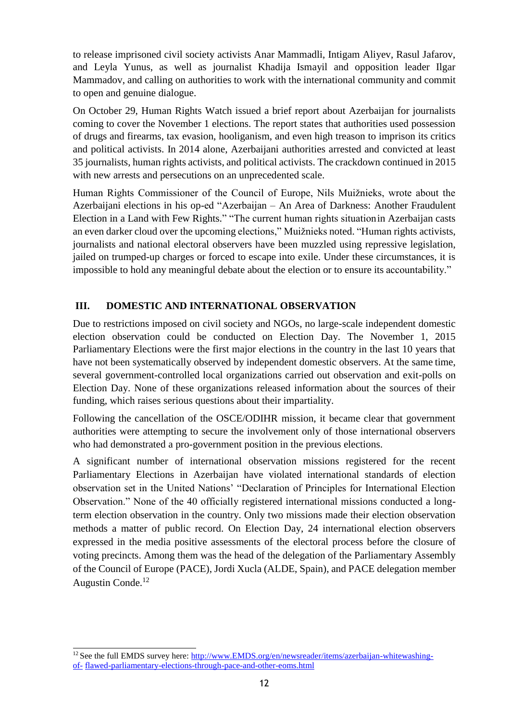to release imprisoned civil society activists Anar Mammadli, Intigam Aliyev, Rasul Jafarov, and Leyla Yunus, as well as journalist Khadija Ismayil and opposition leader Ilgar Mammadov, and calling on authorities to work with the international community and commit to open and genuine dialogue.

On October 29, Human Rights Watch issued a brief report about Azerbaijan for journalists coming to cover the November 1 elections. The report states that authorities used possession of drugs and firearms, tax evasion, hooliganism, and even high treason to imprison its critics and political activists. In 2014 alone, Azerbaijani authorities arrested and convicted at least 35 journalists, human rights activists, and political activists. The crackdown continued in 2015 with new arrests and persecutions on an unprecedented scale.

Human Rights Commissioner of the Council of Europe, Nils Muižnieks, wrote about the Azerbaijani elections in his op-ed "Azerbaijan – An Area of Darkness: Another Fraudulent Election in a Land with Few Rights." "The current human rights situationin Azerbaijan casts an even darker cloud over the upcoming elections," Muižnieks noted. "Human rights activists, journalists and national electoral observers have been [muzzled u](http://www.armradio.am/en/2015/10/27/silencing-of-independent-and-critical-voices-in-azerbaijan-regretful-says-osce-pas-santos/)sing repressive legislation, jailed on trumped-up charges or forced to escape into exile. Under these circumstances, it is impossible to hold any meaningful debate about the election or to ensure its accountability."

# <span id="page-11-0"></span>**III. DOMESTIC AND INTERNATIONAL OBSERVATION**

Due to restrictions imposed on civil society and NGOs, no large-scale independent domestic election observation could be conducted on Election Day. The November 1, 2015 Parliamentary Elections were the first major elections in the country in the last 10 years that have not been systematically observed by independent domestic observers. At the same time, several government-controlled local organizations carried out observation and exit-polls on Election Day. None of these organizations released information about the sources of their funding, which raises serious questions about their impartiality.

Following the cancellation of the OSCE/ODIHR mission, it became clear that government authorities were attempting to secure the involvement only of those international observers who had demonstrated a pro-government position in the previous elections.

A significant number of international observation missions registered for the recent Parliamentary Elections in Azerbaijan have violated international standards of election observation set in the United Nations' "Declaration of Principles for International Election Observation." None of the 40 officially registered international missions conducted a longterm election observation in the country. Only two missions made their election observation methods a matter of public record. On Election Day, 24 international election observers expressed in the media positive assessments of the electoral process before the closure of voting precincts. Among them was the head of the delegation of the Parliamentary Assembly of the Council of Europe (PACE), Jordi Xucla (ALDE, Spain), and PACE delegation member Augustin Conde.<sup>12</sup>

<sup>&</sup>lt;sup>12</sup> See the full EMDS survey here: [http://www.EMDS.org/en/newsreader/items/azerbaijan-whitewashing](http://www.epde.org/en/newsreader/items/azerbaijan-whitewashing-of-flawed-parliamentary-elections-through-pace-and-other-eoms.html)[of-](http://www.epde.org/en/newsreader/items/azerbaijan-whitewashing-of-flawed-parliamentary-elections-through-pace-and-other-eoms.html) [flawed-parliamentary-elections-through-pace-and-other-eoms.html](http://www.epde.org/en/newsreader/items/azerbaijan-whitewashing-of-flawed-parliamentary-elections-through-pace-and-other-eoms.html)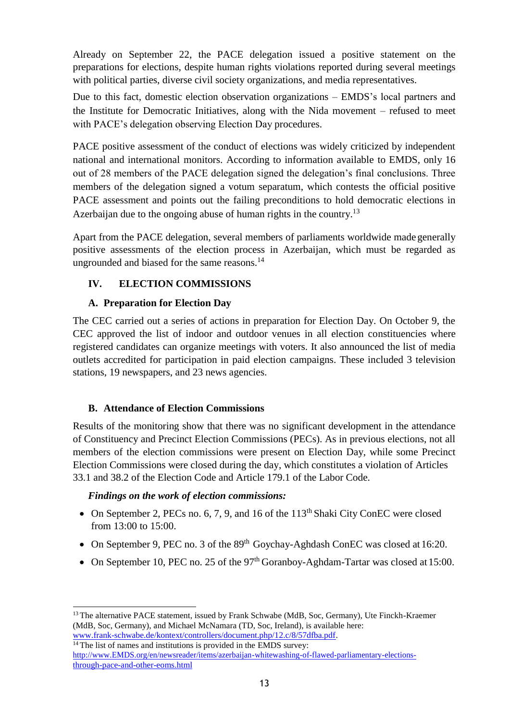Already on September 22, the PACE delegation issued a positive statement on the preparations for elections, despite human rights violations reported during several meetings with political parties, diverse civil society organizations, and media representatives.

Due to this fact, domestic election observation organizations – EMDS's local partners and the Institute for Democratic Initiatives, along with the Nida movement – refused to meet with PACE's delegation observing Election Day procedures.

PACE positive assessment of the conduct of elections was widely criticized by independent national and international monitors. According to information available to EMDS, only 16 out of 28 members of the PACE delegation signed the delegation's final conclusions. Three members of the delegation signed a votum separatum, which contests the official positive PACE assessment and points out the failing preconditions to hold democratic elections in Azerbaijan due to the ongoing abuse of human rights in the country.<sup>13</sup>

Apart from the PACE delegation, several members of parliaments worldwide madegenerally positive assessments of the election process in Azerbaijan, which must be regarded as ungrounded and biased for the same reasons.<sup>14</sup>

# <span id="page-12-0"></span>**IV. ELECTION COMMISSIONS**

#### **A. Preparation for Election Day**

<span id="page-12-1"></span>The CEC carried out a series of actions in preparation for Election Day. On October 9, the CEC approved the list of indoor and outdoor venues in all election constituencies where registered candidates can organize meetings with voters. It also announced the list of media outlets accredited for participation in paid election campaigns. These included 3 television stations, 19 newspapers, and 23 news agencies.

# **B. Attendance of Election Commissions**

<span id="page-12-2"></span>Results of the monitoring show that there was no significant development in the attendance of Constituency and Precinct Election Commissions (PECs). As in previous elections, not all members of the election commissions were present on Election Day, while some Precinct Election Commissions were closed during the day, which constitutes a violation of Articles 33.1 and 38.2 of the Election Code and Article 179.1 of the Labor Code.

#### *Findings on the work of election commissions:*

- On September 2, PECs no. 6, 7, 9, and 16 of the  $113<sup>th</sup>$  Shaki City ConEC were closed from 13:00 to 15:00.
- On September 9, PEC no. 3 of the  $89<sup>th</sup>$  Goychay-Aghdash ConEC was closed at 16:20.
- On September 10, PEC no. 25 of the 97<sup>th</sup> Goranboy-Aghdam-Tartar was closed at 15:00.

```
14 The list of names and institutions is provided in the EMDS survey:
http://www.EMDS.org/en/newsreader/items/azerbaijan-whitewashing-of-flawed-parliamentary-elections-
through-pace-and-other-eoms.html
```
<sup>&</sup>lt;sup>13</sup> The alternative PACE statement, issued by Frank Schwabe (MdB, Soc, Germany), Ute Finckh-Kraemer (MdB, Soc, Germany), and Michael McNamara (TD, Soc, Ireland), is available here: [www.frank-schwabe.de/kontext/controllers/document.php/12.c/8/57dfba.pdf.](http://www.frank-schwabe.de/kontext/controllers/document.php/12.c/8/57dfba.pdf)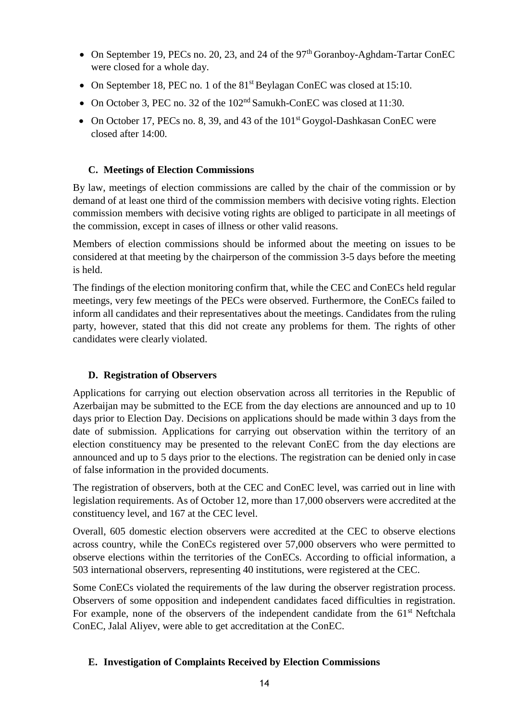- On September 19, PECs no. 20, 23, and 24 of the  $97<sup>th</sup>$  Goranboy-Aghdam-Tartar ConEC were closed for a whole day.
- On September 18, PEC no. 1 of the 81<sup>st</sup> Beylagan ConEC was closed at 15:10.
- On October 3, PEC no. 32 of the 102<sup>nd</sup> Samukh-ConEC was closed at 11:30.
- On October 17, PECs no. 8, 39, and 43 of the 101<sup>st</sup> Goygol-Dashkasan ConEC were closed after 14:00.

# **C. Meetings of Election Commissions**

<span id="page-13-0"></span>By law, meetings of election commissions are called by the chair of the commission or by demand of at least one third of the commission members with decisive voting rights. Election commission members with decisive voting rights are obliged to participate in all meetings of the commission, except in cases of illness or other valid reasons.

Members of election commissions should be informed about the meeting on issues to be considered at that meeting by the chairperson of the commission 3-5 days before the meeting is held.

The findings of the election monitoring confirm that, while the CEC and ConECs held regular meetings, very few meetings of the PECs were observed. Furthermore, the ConECs failed to inform all candidates and their representatives about the meetings. Candidates from the ruling party, however, stated that this did not create any problems for them. The rights of other candidates were clearly violated.

# **D. Registration of Observers**

<span id="page-13-1"></span>Applications for carrying out election observation across all territories in the Republic of Azerbaijan may be submitted to the ECE from the day elections are announced and up to 10 days prior to Election Day. Decisions on applications should be made within 3 days from the date of submission. Applications for carrying out observation within the territory of an election constituency may be presented to the relevant ConEC from the day elections are announced and up to 5 days prior to the elections. The registration can be denied only in case of false information in the provided documents.

The registration of observers, both at the CEC and ConEC level, was carried out in line with legislation requirements. As of October 12, more than 17,000 observers were accredited at the constituency level, and 167 at the CEC level.

Overall, 605 domestic election observers were accredited at the CEC to observe elections across country, while the ConECs registered over 57,000 observers who were permitted to observe elections within the territories of the ConECs. According to official information, a 503 international observers, representing 40 institutions, were registered at the CEC.

Some ConECs violated the requirements of the law during the observer registration process. Observers of some opposition and independent candidates faced difficulties in registration. For example, none of the observers of the independent candidate from the  $61<sup>st</sup>$  Neftchala ConEC, Jalal Aliyev, were able to get accreditation at the ConEC.

#### <span id="page-13-2"></span>**E. Investigation of Complaints Received by Election Commissions**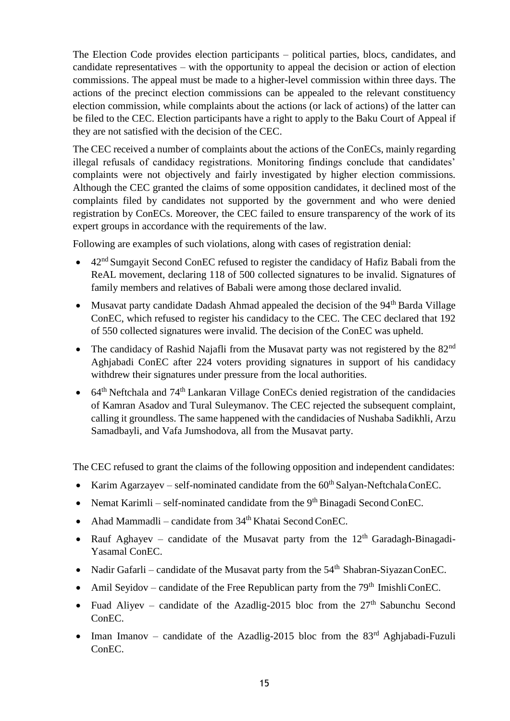The Election Code provides election participants – political parties, blocs, candidates, and candidate representatives – with the opportunity to appeal the decision or action of election commissions. The appeal must be made to a higher-level commission within three days. The actions of the precinct election commissions can be appealed to the relevant constituency election commission, while complaints about the actions (or lack of actions) of the latter can be filed to the CEC. Election participants have a right to apply to the Baku Court of Appeal if they are not satisfied with the decision of the CEC.

The CEC received a number of complaints about the actions of the ConECs, mainly regarding illegal refusals of candidacy registrations. Monitoring findings conclude that candidates' complaints were not objectively and fairly investigated by higher election commissions. Although the CEC granted the claims of some opposition candidates, it declined most of the complaints filed by candidates not supported by the government and who were denied registration by ConECs. Moreover, the CEC failed to ensure transparency of the work of its expert groups in accordance with the requirements of the law.

Following are examples of such violations, along with cases of registration denial:

- 42<sup>nd</sup> Sumgayit Second ConEC refused to register the candidacy of Hafiz Babali from the ReAL movement, declaring 118 of 500 collected signatures to be invalid. Signatures of family members and relatives of Babali were among those declared invalid.
- Musavat party candidate Dadash Ahmad appealed the decision of the  $94<sup>th</sup>$  Barda Village ConEC, which refused to register his candidacy to the CEC. The CEC declared that 192 of 550 collected signatures were invalid. The decision of the ConEC was upheld.
- The candidacy of Rashid Najafli from the Musavat party was not registered by the  $82<sup>nd</sup>$ Aghjabadi ConEC after 224 voters providing signatures in support of his candidacy withdrew their signatures under pressure from the local authorities.
- $\bullet$  64<sup>th</sup> Neftchala and 74<sup>th</sup> Lankaran Village ConECs denied registration of the candidacies of Kamran Asadov and Tural Suleymanov. The CEC rejected the subsequent complaint, calling it groundless. The same happened with the candidacies of Nushaba Sadikhli, Arzu Samadbayli, and Vafa Jumshodova, all from the Musavat party.

The CEC refused to grant the claims of the following opposition and independent candidates:

- Karim Agarzayev self-nominated candidate from the  $60<sup>th</sup>$  Salyan-Neftchala ConEC.
- Nemat Karimli self-nominated candidate from the  $9<sup>th</sup> B$ inagadi Second ConEC.
- Ahad Mammadli candidate from  $34<sup>th</sup>$  Khatai Second ConEC.
- Rauf Aghayev candidate of the Musavat party from the  $12<sup>th</sup>$  Garadagh-Binagadi-Yasamal ConEC.
- Nadir Gafarli candidate of the Musavat party from the  $54<sup>th</sup>$  Shabran-Siyazan ConEC.
- Amil Seyidov candidate of the Free Republican party from the  $79<sup>th</sup>$  ImishliConEC.
- Fuad Aliyev candidate of the Azadlig-2015 bloc from the  $27<sup>th</sup>$  Sabunchu Second ConEC.
- Iman Imanov candidate of the Azadlig-2015 bloc from the  $83<sup>rd</sup>$  Aghjabadi-Fuzuli ConEC.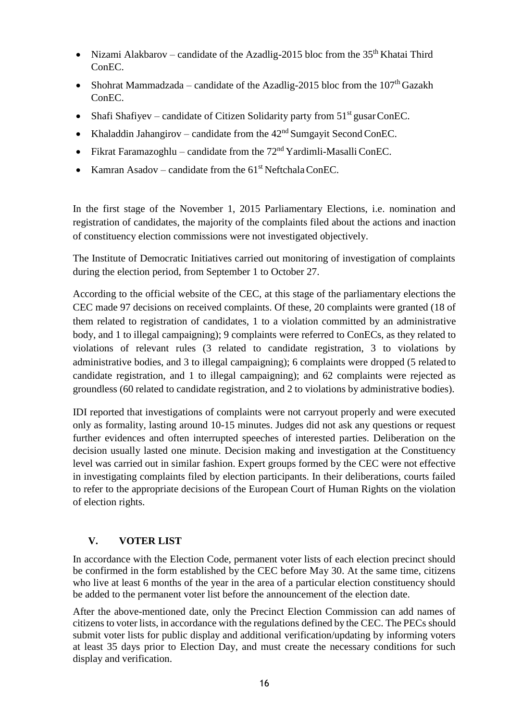- Nizami Alakbarov candidate of the Azadlig-2015 bloc from the  $35<sup>th</sup>$  Khatai Third ConEC.
- Shohrat Mammadzada candidate of the Azadlig-2015 bloc from the  $107<sup>th</sup>$  Gazakh ConEC.
- Shafi Shafiyev candidate of Citizen Solidarity party from  $51<sup>st</sup>$  gusar ConEC.
- Khaladdin Jahangirov candidate from the  $42<sup>nd</sup>$  Sumgayit Second ConEC.
- Fikrat Faramazoghlu candidate from the  $72<sup>nd</sup>$  Yardimli-Masalli ConEC.
- Kamran Asadov candidate from the  $61<sup>st</sup>$  Neftchala ConEC.

In the first stage of the November 1, 2015 Parliamentary Elections, i.e. nomination and registration of candidates, the majority of the complaints filed about the actions and inaction of constituency election commissions were not investigated objectively.

The Institute of Democratic Initiatives carried out monitoring of investigation of complaints during the election period, from September 1 to October 27.

According to the official website of the CEC, at this stage of the parliamentary elections the CEC made 97 decisions on received complaints. Of these, 20 complaints were granted (18 of them related to registration of candidates, 1 to a violation committed by an administrative body, and 1 to illegal campaigning); 9 complaints were referred to ConECs, as they related to violations of relevant rules (3 related to candidate registration, 3 to violations by administrative bodies, and 3 to illegal campaigning); 6 complaints were dropped (5 related to candidate registration, and 1 to illegal campaigning); and 62 complaints were rejected as groundless (60 related to candidate registration, and 2 to violations by administrative bodies).

IDI reported that investigations of complaints were not carryout properly and were executed only as formality, lasting around 10-15 minutes. Judges did not ask any questions or request further evidences and often interrupted speeches of interested parties. Deliberation on the decision usually lasted one minute. Decision making and investigation at the Constituency level was carried out in similar fashion. Expert groups formed by the CEC were not effective in investigating complaints filed by election participants. In their deliberations, courts failed to refer to the appropriate decisions of the European Court of Human Rights on the violation of election rights.

# **V. VOTER LIST**

<span id="page-15-0"></span>In accordance with the Election Code, permanent voter lists of each election precinct should be confirmed in the form established by the CEC before May 30. At the same time, citizens who live at least 6 months of the year in the area of a particular election constituency should be added to the permanent voter list before the announcement of the election date.

After the above-mentioned date, only the Precinct Election Commission can add names of citizens to voter lists, in accordance with the regulations defined by the CEC. The PECs should submit voter lists for public display and additional verification/updating by informing voters at least 35 days prior to Election Day, and must create the necessary conditions for such display and verification.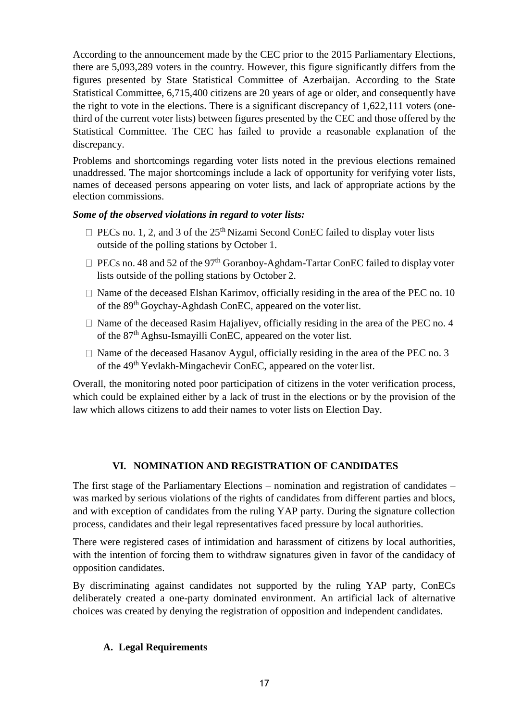According to the announcement made by the CEC prior to the 2015 Parliamentary Elections, there are 5,093,289 voters in the country. However, this figure significantly differs from the figures presented by State Statistical Committee of Azerbaijan. According to the State Statistical Committee, 6,715,400 citizens are 20 years of age or older, and consequently have the right to vote in the elections. There is a significant discrepancy of 1,622,111 voters (onethird of the current voter lists) between figures presented by the CEC and those offered by the Statistical Committee. The CEC has failed to provide a reasonable explanation of the discrepancy.

Problems and shortcomings regarding voter lists noted in the previous elections remained unaddressed. The major shortcomings include a lack of opportunity for verifying voter lists, names of deceased persons appearing on voter lists, and lack of appropriate actions by the election commissions.

#### *Some of the observed violations in regard to voter lists:*

- $\Box$  PECs no. 1, 2, and 3 of the 25<sup>th</sup> Nizami Second ConEC failed to display voter lists outside of the polling stations by October 1.
- $\Box$  PECs no. 48 and 52 of the 97<sup>th</sup> Goranboy-Aghdam-Tartar ConEC failed to display voter lists outside of the polling stations by October 2.
- $\Box$  Name of the deceased Elshan Karimov, officially residing in the area of the PEC no. 10 of the 89th Goychay-Aghdash ConEC, appeared on the voterlist.
- $\Box$  Name of the deceased Rasim Hajaliyev, officially residing in the area of the PEC no. 4 of the 87th Aghsu-Ismayilli ConEC, appeared on the voter list.
- $\Box$  Name of the deceased Hasanov Aygul, officially residing in the area of the PEC no. 3 of the 49<sup>th</sup> Yevlakh-Mingachevir ConEC, appeared on the voter list.

Overall, the monitoring noted poor participation of citizens in the voter verification process, which could be explained either by a lack of trust in the elections or by the provision of the law which allows citizens to add their names to voter lists on Election Day.

#### **VI. NOMINATION AND REGISTRATION OF CANDIDATES**

<span id="page-16-0"></span>The first stage of the Parliamentary Elections – nomination and registration of candidates – was marked by serious violations of the rights of candidates from different parties and blocs, and with exception of candidates from the ruling YAP party. During the signature collection process, candidates and their legal representatives faced pressure by local authorities.

There were registered cases of intimidation and harassment of citizens by local authorities, with the intention of forcing them to withdraw signatures given in favor of the candidacy of opposition candidates.

By discriminating against candidates not supported by the ruling YAP party, ConECs deliberately created a one-party dominated environment. An artificial lack of alternative choices was created by denying the registration of opposition and independent candidates.

#### <span id="page-16-1"></span>**A. Legal Requirements**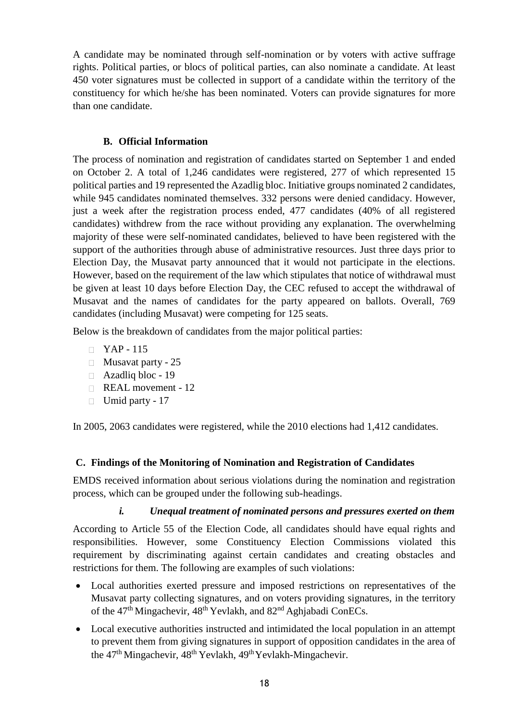A candidate may be nominated through self-nomination or by voters with active suffrage rights. Political parties, or blocs of political parties, can also nominate a candidate. At least 450 voter signatures must be collected in support of a candidate within the territory of the constituency for which he/she has been nominated. Voters can provide signatures for more than one candidate.

#### **B. Official Information**

<span id="page-17-0"></span>The process of nomination and registration of candidates started on September 1 and ended on October 2. A total of 1,246 candidates were registered, 277 of which represented 15 political parties and 19 represented the Azadlig bloc. Initiative groups nominated 2 candidates, while 945 candidates nominated themselves. 332 persons were denied candidacy. However, just a week after the registration process ended, 477 candidates (40% of all registered candidates) withdrew from the race without providing any explanation. The overwhelming majority of these were self-nominated candidates, believed to have been registered with the support of the authorities through abuse of administrative resources. Just three days prior to Election Day, the Musavat party announced that it would not participate in the elections. However, based on the requirement of the law which stipulates that notice of withdrawal must be given at least 10 days before Election Day, the CEC refused to accept the withdrawal of Musavat and the names of candidates for the party appeared on ballots. Overall, 769 candidates (including Musavat) were competing for 125 seats.

Below is the breakdown of candidates from the major political parties:

- $\Box$  YAP 115
- $\Box$  Musavat party 25
- Azadliq bloc 19
- REAL movement 12
- $\Box$  Umid party 17

In 2005, 2063 candidates were registered, while the 2010 elections had 1,412 candidates.

# <span id="page-17-1"></span>**C. Findings of the Monitoring of Nomination and Registration of Candidates**

EMDS received information about serious violations during the nomination and registration process, which can be grouped under the following sub-headings.

#### *i. Unequal treatment of nominated persons and pressures exerted on them*

<span id="page-17-2"></span>According to Article 55 of the Election Code, all candidates should have equal rights and responsibilities. However, some Constituency Election Commissions violated this requirement by discriminating against certain candidates and creating obstacles and restrictions for them. The following are examples of such violations:

- Local authorities exerted pressure and imposed restrictions on representatives of the Musavat party collecting signatures, and on voters providing signatures, in the territory of the 47<sup>th</sup> Mingachevir, 48<sup>th</sup> Yevlakh, and 82<sup>nd</sup> Aghjabadi ConECs.
- Local executive authorities instructed and intimidated the local population in an attempt to prevent them from giving signatures in support of opposition candidates in the area of the 47<sup>th</sup> Mingachevir, 48<sup>th</sup> Yevlakh, 49<sup>th</sup> Yevlakh-Mingachevir.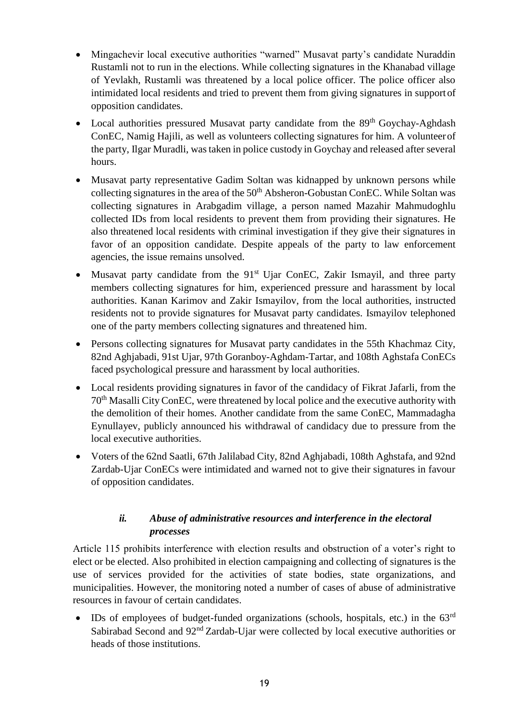- Mingachevir local executive authorities "warned" Musavat party's candidate Nuraddin Rustamli not to run in the elections. While collecting signatures in the Khanabad village of Yevlakh, Rustamli was threatened by a local police officer. The police officer also intimidated local residents and tried to prevent them from giving signatures in supportof opposition candidates.
- Local authorities pressured Musavat party candidate from the 89<sup>th</sup> Goychay-Aghdash ConEC, Namig Hajili, as well as volunteers collecting signatures for him. A volunteerof the party, Ilgar Muradli, wastaken in police custody in Goychay and released after several hours.
- Musavat party representative Gadim Soltan was kidnapped by unknown persons while collecting signatures in the area of the  $50<sup>th</sup>$  Absheron-Gobustan ConEC. While Soltan was collecting signatures in Arabgadim village, a person named Mazahir Mahmudoghlu collected IDs from local residents to prevent them from providing their signatures. He also threatened local residents with criminal investigation if they give their signatures in favor of an opposition candidate. Despite appeals of the party to law enforcement agencies, the issue remains unsolved.
- Musavat party candidate from the  $91<sup>st</sup>$  Ujar ConEC, Zakir Ismayil, and three party members collecting signatures for him, experienced pressure and harassment by local authorities. Kanan Karimov and Zakir Ismayilov, from the local authorities, instructed residents not to provide signatures for Musavat party candidates. Ismayilov telephoned one of the party members collecting signatures and threatened him.
- Persons collecting signatures for Musavat party candidates in the 55th Khachmaz City, 82nd Aghjabadi, 91st Ujar, 97th Goranboy-Aghdam-Tartar, and 108th Aghstafa ConECs faced psychological pressure and harassment by local authorities.
- Local residents providing signatures in favor of the candidacy of Fikrat Jafarli, from the 70th Masalli CityConEC, were threatened by local police and the executive authority with the demolition of their homes. Another candidate from the same ConEC, Mammadagha Eynullayev, publicly announced his withdrawal of candidacy due to pressure from the local executive authorities.
- Voters of the 62nd Saatli, 67th Jalilabad City, 82nd Aghjabadi, 108th Aghstafa, and 92nd Zardab-Ujar ConECs were intimidated and warned not to give their signatures in favour of opposition candidates.

# *ii. Abuse of administrative resources and interference in the electoral processes*

<span id="page-18-0"></span>Article 115 prohibits interference with election results and obstruction of a voter's right to elect or be elected. Also prohibited in election campaigning and collecting of signatures is the use of services provided for the activities of state bodies, state organizations, and municipalities. However, the monitoring noted a number of cases of abuse of administrative resources in favour of certain candidates.

 $\bullet$  IDs of employees of budget-funded organizations (schools, hospitals, etc.) in the 63<sup>rd</sup> Sabirabad Second and 92<sup>nd</sup> Zardab-Ujar were collected by local executive authorities or heads of those institutions.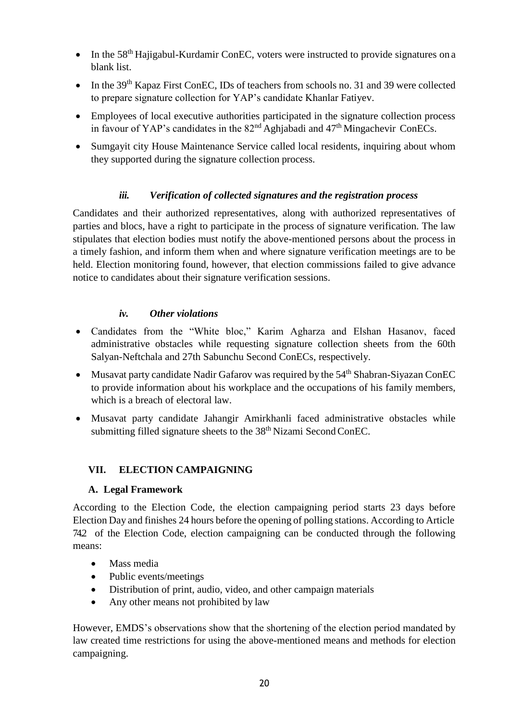- $\bullet$  In the 58<sup>th</sup> Hajigabul-Kurdamir ConEC, voters were instructed to provide signatures on a blank list.
- In the 39<sup>th</sup> Kapaz First ConEC, IDs of teachers from schools no. 31 and 39 were collected to prepare signature collection for YAP's candidate Khanlar Fatiyev.
- Employees of local executive authorities participated in the signature collection process in favour of YAP's candidates in the  $82<sup>nd</sup>$  Aghjabadi and  $47<sup>th</sup>$  Mingachevir ConECs.
- Sumgayit city House Maintenance Service called local residents, inquiring about whom they supported during the signature collection process.

# *iii. Verification of collected signatures and the registration process*

<span id="page-19-0"></span>Candidates and their authorized representatives, along with authorized representatives of parties and blocs, have a right to participate in the process of signature verification. The law stipulates that election bodies must notify the above-mentioned persons about the process in a timely fashion, and inform them when and where signature verification meetings are to be held. Election monitoring found, however, that election commissions failed to give advance notice to candidates about their signature verification sessions.

# *iv. Other violations*

- <span id="page-19-1"></span> Candidates from the "White bloc," Karim Agharza and Elshan Hasanov, faced administrative obstacles while requesting signature collection sheets from the 60th Salyan-Neftchala and 27th Sabunchu Second ConECs, respectively.
- Musavat party candidate Nadir Gafarov was required by the  $54<sup>th</sup>$  Shabran-Siyazan ConEC to provide information about his workplace and the occupations of his family members, which is a breach of electoral law.
- Musavat party candidate Jahangir Amirkhanli faced administrative obstacles while submitting filled signature sheets to the 38<sup>th</sup> Nizami Second ConEC.

# <span id="page-19-2"></span>**VII. ELECTION CAMPAIGNING**

# **A. Legal Framework**

<span id="page-19-3"></span>According to the Election Code, the election campaigning period starts 23 days before Election Day and finishes 24 hours before the opening of polling stations. According to Article 74.2 of the Election Code, election campaigning can be conducted through the following means:

- Mass media
- Public events/meetings
- Distribution of print, audio, video, and other campaign materials
- Any other means not prohibited by law

However, EMDS's observations show that the shortening of the election period mandated by law created time restrictions for using the above-mentioned means and methods for election campaigning.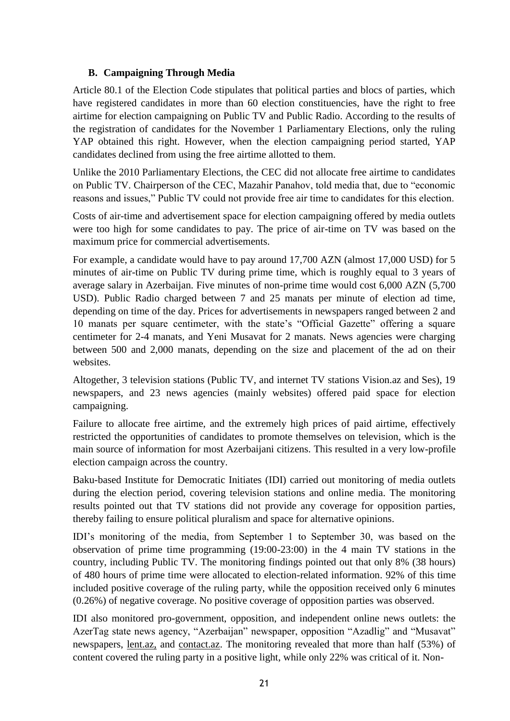#### **B. Campaigning Through Media**

<span id="page-20-0"></span>Article 80.1 of the Election Code stipulates that political parties and blocs of parties, which have registered candidates in more than 60 election constituencies, have the right to free airtime for election campaigning on Public TV and Public Radio. According to the results of the registration of candidates for the November 1 Parliamentary Elections, only the ruling YAP obtained this right. However, when the election campaigning period started, YAP candidates declined from using the free airtime allotted to them.

Unlike the 2010 Parliamentary Elections, the CEC did not allocate free airtime to candidates on Public TV. Chairperson of the CEC, Mazahir Panahov, told media that, due to "economic reasons and issues," Public TV could not provide free air time to candidates for this election.

Costs of air-time and advertisement space for election campaigning offered by media outlets were too high for some candidates to pay. The price of air-time on TV was based on the maximum price for commercial advertisements.

For example, a candidate would have to pay around 17,700 AZN (almost 17,000 USD) for 5 minutes of air-time on Public TV during prime time, which is roughly equal to 3 years of average salary in Azerbaijan. Five minutes of non-prime time would cost 6,000 AZN (5,700 USD). Public Radio charged between 7 and 25 manats per minute of election ad time, depending on time of the day. Prices for advertisements in newspapers ranged between 2 and 10 manats per square centimeter, with the state's "Official Gazette" offering a square centimeter for 2-4 manats, and Yeni Musavat for 2 manats. News agencies were charging between 500 and 2,000 manats, depending on the size and placement of the ad on their websites.

Altogether, 3 television stations (Public TV, and internet TV stations Vision.az and Ses), 19 newspapers, and 23 news agencies (mainly websites) offered paid space for election campaigning.

Failure to allocate free airtime, and the extremely high prices of paid airtime, effectively restricted the opportunities of candidates to promote themselves on television, which is the main source of information for most Azerbaijani citizens. This resulted in a very low-profile election campaign across the country.

Baku-based Institute for Democratic Initiates (IDI) carried out monitoring of media outlets during the election period, covering television stations and online media. The monitoring results pointed out that TV stations did not provide any coverage for opposition parties, thereby failing to ensure political pluralism and space for alternative opinions.

IDI's monitoring of the media, from September 1 to September 30, was based on the observation of prime time programming (19:00-23:00) in the 4 main TV stations in the country, including Public TV. The monitoring findings pointed out that only 8% (38 hours) of 480 hours of prime time were allocated to election-related information. 92% of this time included positive coverage of the ruling party, while the opposition received only 6 minutes (0.26%) of negative coverage. No positive coverage of opposition parties was observed.

IDI also monitored pro-government, opposition, and independent online news outlets: the AzerTag state news agency, "Azerbaijan" newspaper, opposition "Azadlig" and "Musavat" newspapers, [lent.az,](http://lent.az/) and [contact.az.](http://contact.az/) The monitoring revealed that more than half (53%) of content covered the ruling party in a positive light, while only 22% was critical of it. Non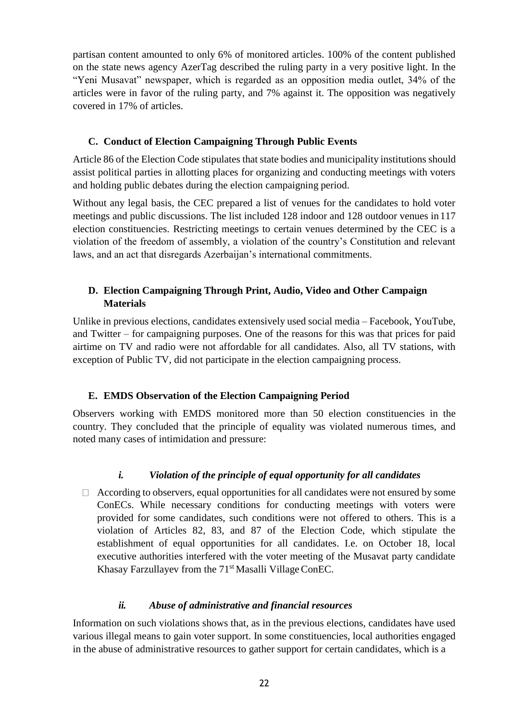partisan content amounted to only 6% of monitored articles. 100% of the content published on the state news agency AzerTag described the ruling party in a very positive light. In the "Yeni Musavat" newspaper, which is regarded as an opposition media outlet, 34% of the articles were in favor of the ruling party, and 7% against it. The opposition was negatively covered in 17% of articles.

#### **C. Conduct of Election Campaigning Through Public Events**

<span id="page-21-0"></span>Article 86 of the Election Code stipulates that state bodies and municipality institutions should assist political parties in allotting places for organizing and conducting meetings with voters and holding public debates during the election campaigning period.

Without any legal basis, the CEC prepared a list of venues for the candidates to hold voter meetings and public discussions. The list included 128 indoor and 128 outdoor venues in 117 election constituencies. Restricting meetings to certain venues determined by the CEC is a violation of the freedom of assembly, a violation of the country's Constitution and relevant laws, and an act that disregards Azerbaijan's international commitments.

#### <span id="page-21-1"></span>**D. Election Campaigning Through Print, Audio, Video and Other Campaign Materials**

Unlike in previous elections, candidates extensively used social media – Facebook, YouTube, and Twitter – for campaigning purposes. One of the reasons for this was that prices for paid airtime on TV and radio were not affordable for all candidates. Also, all TV stations, with exception of Public TV, did not participate in the election campaigning process.

#### **E. EMDS Observation of the Election Campaigning Period**

<span id="page-21-2"></span>Observers working with EMDS monitored more than 50 election constituencies in the country. They concluded that the principle of equality was violated numerous times, and noted many cases of intimidation and pressure:

# *i. Violation of the principle of equal opportunity for all candidates*

<span id="page-21-3"></span> $\Box$  According to observers, equal opportunities for all candidates were not ensured by some ConECs. While necessary conditions for conducting meetings with voters were provided for some candidates, such conditions were not offered to others. This is a violation of Articles 82, 83, and 87 of the Election Code, which stipulate the establishment of equal opportunities for all candidates. I.e. on October 18, local executive authorities interfered with the voter meeting of the Musavat party candidate Khasay Farzullayev from the 71<sup>st</sup> Masalli Village ConEC.

#### *ii. Abuse of administrative and financial resources*

<span id="page-21-4"></span>Information on such violations shows that, as in the previous elections, candidates have used various illegal means to gain voter support. In some constituencies, local authorities engaged in the abuse of administrative resources to gather support for certain candidates, which is a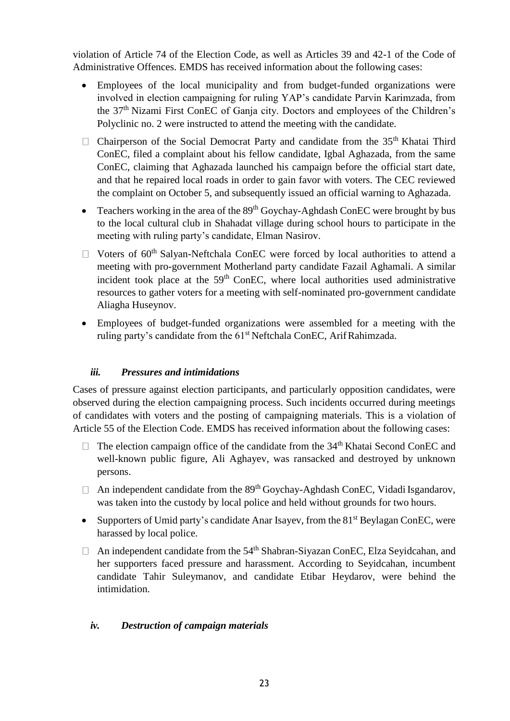violation of Article 74 of the Election Code, as well as Articles 39 and 42-1 of the Code of Administrative Offences. EMDS has received information about the following cases:

- Employees of the local municipality and from budget-funded organizations were involved in election campaigning for ruling YAP's candidate Parvin Karimzada, from the 37th Nizami First ConEC of Ganja city. Doctors and employees of the Children's Polyclinic no. 2 were instructed to attend the meeting with the candidate.
- $\Box$  Chairperson of the Social Democrat Party and candidate from the 35<sup>th</sup> Khatai Third ConEC, filed a complaint about his fellow candidate, Igbal Aghazada, from the same ConEC, claiming that Aghazada launched his campaign before the official start date, and that he repaired local roads in order to gain favor with voters. The CEC reviewed the complaint on October 5, and subsequently issued an official warning to Aghazada.
- Teachers working in the area of the  $89<sup>th</sup>$  Goychay-Aghdash ConEC were brought by bus to the local cultural club in Shahadat village during school hours to participate in the meeting with ruling party's candidate, Elman Nasirov.
- $\Box$  Voters of 60<sup>th</sup> Salyan-Neftchala ConEC were forced by local authorities to attend a meeting with pro-government Motherland party candidate Fazail Aghamali. A similar incident took place at the  $59<sup>th</sup>$  ConEC, where local authorities used administrative resources to gather voters for a meeting with self-nominated pro-government candidate Aliagha Huseynov.
- Employees of budget-funded organizations were assembled for a meeting with the ruling party's candidate from the 61<sup>st</sup> Neftchala ConEC, Arif Rahimzada.

# *iii. Pressures and intimidations*

<span id="page-22-0"></span>Cases of pressure against election participants, and particularly opposition candidates, were observed during the election campaigning process. Such incidents occurred during meetings of candidates with voters and the posting of campaigning materials. This is a violation of Article 55 of the Election Code. EMDS has received information about the following cases:

- $\Box$  The election campaign office of the candidate from the 34<sup>th</sup> Khatai Second ConEC and well-known public figure, Ali Aghayev, was ransacked and destroyed by unknown persons.
- $\Box$  An independent candidate from the 89<sup>th</sup> Goychay-Aghdash ConEC, Vidadi Isgandarov, was taken into the custody by local police and held without grounds for two hours.
- Supporters of Umid party's candidate Anar Isayev, from the 81<sup>st</sup> Beylagan ConEC, were harassed by local police.
- $\Box$  An independent candidate from the 54<sup>th</sup> Shabran-Siyazan ConEC, Elza Seyidcahan, and her supporters faced pressure and harassment. According to Seyidcahan, incumbent candidate Tahir Suleymanov, and candidate Etibar Heydarov, were behind the intimidation.

# <span id="page-22-1"></span>*iv. Destruction of campaign materials*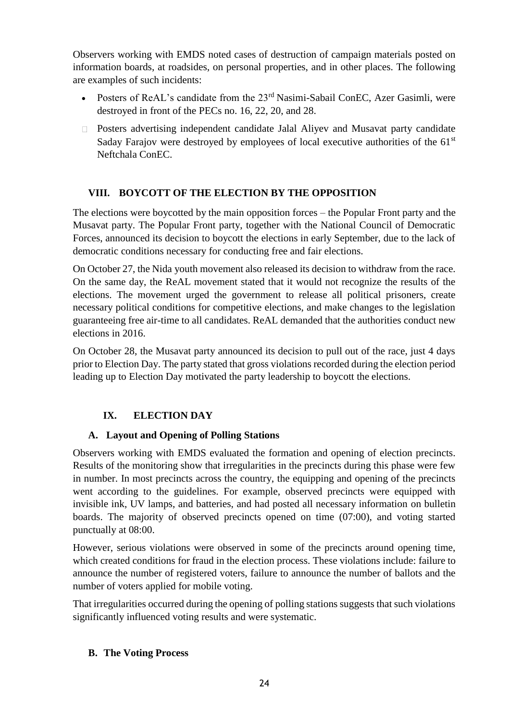Observers working with EMDS noted cases of destruction of campaign materials posted on information boards, at roadsides, on personal properties, and in other places. The following are examples of such incidents:

- Posters of ReAL's candidate from the 23<sup>rd</sup> Nasimi-Sabail ConEC, Azer Gasimli, were destroyed in front of the PECs no. 16, 22, 20, and 28.
- Posters advertising independent candidate Jalal Aliyev and Musavat party candidate Saday Farajov were destroyed by employees of local executive authorities of the 61<sup>st</sup> Neftchala ConEC.

# **VIII. BOYCOTT OF THE ELECTION BY THE OPPOSITION**

<span id="page-23-0"></span>The elections were boycotted by the main opposition forces – the Popular Front party and the Musavat party. The Popular Front party, together with the National Council of Democratic Forces, announced its decision to boycott the elections in early September, due to the lack of democratic conditions necessary for conducting free and fair elections.

On October 27, the Nida youth movement also released its decision to withdraw from the race. On the same day, the ReAL movement stated that it would not recognize the results of the elections. The movement urged the government to release all political prisoners, create necessary political conditions for competitive elections, and make changes to the legislation guaranteeing free air-time to all candidates. ReAL demanded that the authorities conduct new elections in 2016.

On October 28, the Musavat party announced its decision to pull out of the race, just 4 days prior to Election Day. The party stated that gross violations recorded during the election period leading up to Election Day motivated the party leadership to boycott the elections.

# **IX. ELECTION DAY**

# <span id="page-23-1"></span>**A. Layout and Opening of Polling Stations**

<span id="page-23-2"></span>Observers working with EMDS evaluated the formation and opening of election precincts. Results of the monitoring show that irregularities in the precincts during this phase were few in number. In most precincts across the country, the equipping and opening of the precincts went according to the guidelines. For example, observed precincts were equipped with invisible ink, UV lamps, and batteries, and had posted all necessary information on bulletin boards. The majority of observed precincts opened on time (07:00), and voting started punctually at 08:00.

However, serious violations were observed in some of the precincts around opening time, which created conditions for fraud in the election process. These violations include: failure to announce the number of registered voters, failure to announce the number of ballots and the number of voters applied for mobile voting.

That irregularities occurred during the opening of polling stations suggests that such violations significantly influenced voting results and were systematic.

#### <span id="page-23-3"></span>**B. The Voting Process**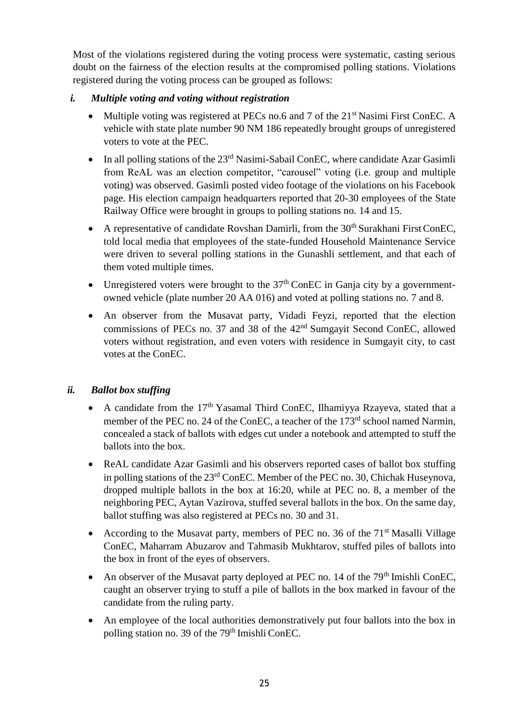Most of the violations registered during the voting process were systematic, casting serious doubt on the fairness of the election results at the compromised polling stations. Violations registered during the voting process can be grouped as follows:

#### <span id="page-24-0"></span>*i. Multiple voting and voting without registration*

- Multiple voting was registered at PECs no.6 and 7 of the 21<sup>st</sup> Nasimi First ConEC. A vehicle with state plate number 90 NM 186 repeatedly brought groups of unregistered voters to vote at the PEC.
- $\bullet$  In all polling stations of the 23<sup>rd</sup> Nasimi-Sabail ConEC, where candidate Azar Gasimli from ReAL was an election competitor, "carousel" voting (i.e. group and multiple voting) was observed. Gasimli posted video footage of the violations on his Facebook page. His election campaign headquarters reported that 20-30 employees of the State Railway Office were brought in groups to polling stations no. 14 and 15.
- A representative of candidate Rovshan Damirli, from the  $30<sup>th</sup>$  Surakhani First ConEC, told local media that employees of the state-funded Household Maintenance Service were driven to several polling stations in the Gunashli settlement, and that each of them voted multiple times.
- Unregistered voters were brought to the  $37<sup>th</sup>$  ConEC in Ganja city by a governmentowned vehicle (plate number 20 AA 016) and voted at polling stations no. 7 and 8.
- An observer from the Musavat party, Vidadi Feyzi, reported that the election commissions of PECs no. 37 and 38 of the 42<sup>nd</sup> Sumgayit Second ConEC, allowed voters without registration, and even voters with residence in Sumgayit city, to cast votes at the ConEC.

# <span id="page-24-1"></span>*ii. Ballot box stuffing*

- A candidate from the  $17<sup>th</sup>$  Yasamal Third ConEC, Ilhamiyya Rzayeva, stated that a member of the PEC no. 24 of the ConEC, a teacher of the 173<sup>rd</sup> school named Narmin, concealed a stack of ballots with edges cut under a notebook and attempted to stuff the ballots into the box.
- ReAL candidate Azar Gasimli and his observers reported cases of ballot box stuffing in polling stations of the 23rd ConEC. Member of the PEC no. 30, Chichak Huseynova, dropped multiple ballots in the box at 16:20, while at PEC no. 8, a member of the neighboring PEC, Aytan Vazirova, stuffed several ballots in the box. On the same day, ballot stuffing was also registered at PECs no. 30 and 31.
- According to the Musavat party, members of PEC no. 36 of the 71<sup>st</sup> Masalli Village ConEC, Maharram Abuzarov and Tahmasib Mukhtarov, stuffed piles of ballots into the box in front of the eyes of observers.
- An observer of the Musavat party deployed at PEC no. 14 of the  $79<sup>th</sup>$  Imishli ConEC, caught an observer trying to stuff a pile of ballots in the box marked in favour of the candidate from the ruling party.
- An employee of the local authorities demonstratively put four ballots into the box in polling station no. 39 of the 79<sup>th</sup> Imishli ConEC.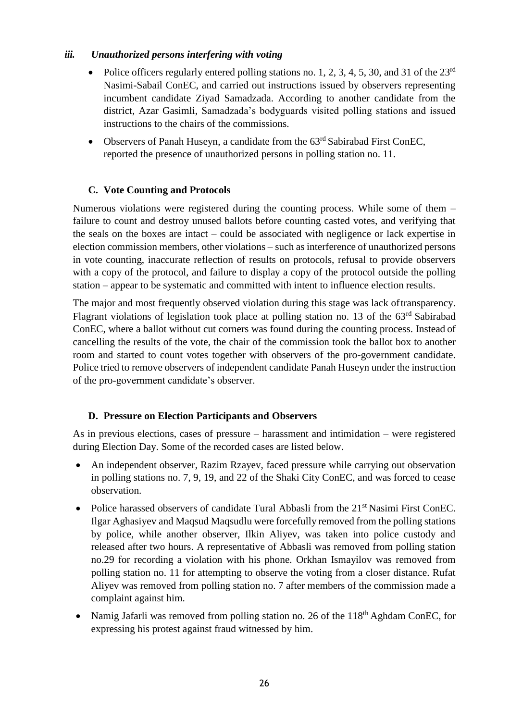#### <span id="page-25-0"></span>*iii. Unauthorized persons interfering with voting*

- Police officers regularly entered polling stations no. 1, 2, 3, 4, 5, 30, and 31 of the  $23<sup>rd</sup>$ Nasimi-Sabail ConEC, and carried out instructions issued by observers representing incumbent candidate Ziyad Samadzada. According to another candidate from the district, Azar Gasimli, Samadzada's bodyguards visited polling stations and issued instructions to the chairs of the commissions.
- Observers of Panah Huseyn, a candidate from the 63<sup>rd</sup> Sabirabad First ConEC, reported the presence of unauthorized persons in polling station no. 11.

# **C. Vote Counting and Protocols**

<span id="page-25-1"></span>Numerous violations were registered during the counting process. While some of them – failure to count and destroy unused ballots before counting casted votes, and verifying that the seals on the boxes are intact – could be associated with negligence or lack expertise in election commission members, other violations – such as interference of unauthorized persons in vote counting, inaccurate reflection of results on protocols, refusal to provide observers with a copy of the protocol, and failure to display a copy of the protocol outside the polling station – appear to be systematic and committed with intent to influence election results.

The major and most frequently observed violation during this stage was lack oftransparency. Flagrant violations of legislation took place at polling station no. 13 of the 63<sup>rd</sup> Sabirabad ConEC, where a ballot without cut corners was found during the counting process. Instead of cancelling the results of the vote, the chair of the commission took the ballot box to another room and started to count votes together with observers of the pro-government candidate. Police tried to remove observers of independent candidate Panah Huseyn under the instruction of the pro-government candidate's observer.

# **D. Pressure on Election Participants and Observers**

<span id="page-25-2"></span>As in previous elections, cases of pressure – harassment and intimidation – were registered during Election Day. Some of the recorded cases are listed below.

- An independent observer, Razim Rzayev, faced pressure while carrying out observation in polling stations no. 7, 9, 19, and 22 of the Shaki City ConEC, and was forced to cease observation.
- Police harassed observers of candidate Tural Abbasli from the  $21<sup>st</sup>$  Nasimi First ConEC. Ilgar Aghasiyev and Maqsud Maqsudlu were forcefully removed from the polling stations by police, while another observer, Ilkin Aliyev, was taken into police custody and released after two hours. A representative of Abbasli was removed from polling station no.29 for recording a violation with his phone. Orkhan Ismayilov was removed from polling station no. 11 for attempting to observe the voting from a closer distance. Rufat Aliyev was removed from polling station no. 7 after members of the commission made a complaint against him.
- Namig Jafarli was removed from polling station no. 26 of the 118<sup>th</sup> Aghdam ConEC, for expressing his protest against fraud witnessed by him.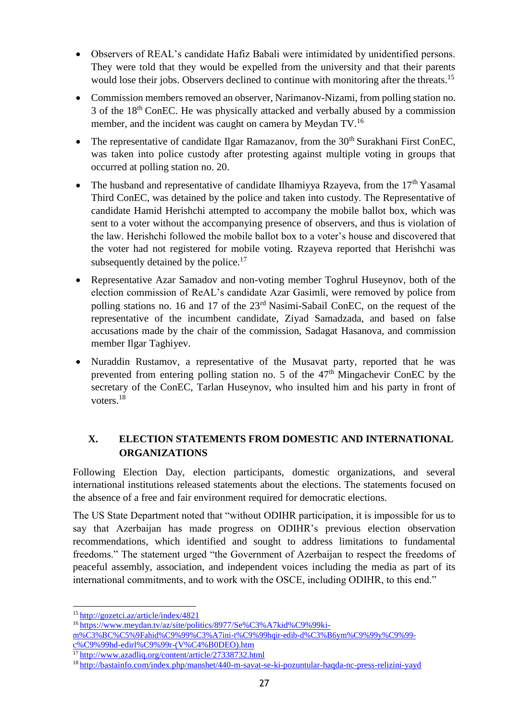- Observers of REAL's candidate Hafiz Babali were intimidated by unidentified persons. They were told that they would be expelled from the university and that their parents would lose their jobs. Observers declined to continue with monitoring after the threats.<sup>15</sup>
- Commission members removed an observer, Narimanov-Nizami, from polling station no. 3 of the 18th ConEC. He was physically attacked and verbally abused by a commission member, and the incident was caught on camera by Meydan TV.<sup>16</sup>
- The representative of candidate Ilgar Ramazanov, from the  $30<sup>th</sup>$  Surakhani First ConEC, was taken into police custody after protesting against multiple voting in groups that occurred at polling station no. 20.
- The husband and representative of candidate Ilhamiyya Rzayeva, from the  $17<sup>th</sup>$  Yasamal Third ConEC, was detained by the police and taken into custody. The Representative of candidate Hamid Herishchi attempted to accompany the mobile ballot box, which was sent to a voter without the accompanying presence of observers, and thus is violation of the law. Herishchi followed the mobile ballot box to a voter's house and discovered that the voter had not registered for mobile voting. Rzayeva reported that Herishchi was subsequently detained by the police. $17$
- Representative Azar Samadov and non-voting member Toghrul Huseynov, both of the election commission of ReAL's candidate Azar Gasimli, were removed by police from polling stations no. 16 and 17 of the 23<sup>rd</sup> Nasimi-Sabail ConEC, on the request of the representative of the incumbent candidate, Ziyad Samadzada, and based on false accusations made by the chair of the commission, Sadagat Hasanova, and commission member Ilgar Taghiyev.
- Nuraddin Rustamov, a representative of the Musavat party, reported that he was prevented from entering polling station no. 5 of the  $47<sup>th</sup>$  Mingachevir ConEC by the secretary of the ConEC, Tarlan Huseynov, who insulted him and his party in front of voters.<sup>18</sup>

# <span id="page-26-0"></span>**X. ELECTION STATEMENTS FROM DOMESTIC AND INTERNATIONAL ORGANIZATIONS**

Following Election Day, election participants, domestic organizations, and several international institutions released statements about the elections. The statements focused on the absence of a free and fair environment required for democratic elections.

The US State Department noted that "without ODIHR participation, it is impossible for us to say that Azerbaijan has made progress on ODIHR's previous election observation recommendations, which identified and sought to address limitations to fundamental freedoms." The statement urged "the Government of Azerbaijan to respect the freedoms of peaceful assembly, association, and independent voices including the media as part of its international commitments, and to work with the OSCE, including ODIHR, to this end."

<sup>&</sup>lt;sup>15</sup><http://gozetci.az/article/index/4821>

<sup>&</sup>lt;sup>16</sup> [https://www.meydan.tv/az/site/politics/8977/Se%C3%A7kid%C9%99ki-](https://www.meydan.tv/az/site/politics/8977/Se%C3%A7kid%C9%99ki-m%C3%BC%C5%9Fahid%C9%99%C3%A7ini-t%C9%99hqir-edib-d%C3%B6ym%C9%99y%C9%99-c%C9%99hd-edirl%C9%99r-(V%C4%B0DEO).htm)

[m%C3%BC%C5%9Fahid%C9%99%C3%A7ini-t%C9%99hqir-edib-d%C3%B6ym%C9%99y%C9%99](https://www.meydan.tv/az/site/politics/8977/Se%C3%A7kid%C9%99ki-m%C3%BC%C5%9Fahid%C9%99%C3%A7ini-t%C9%99hqir-edib-d%C3%B6ym%C9%99y%C9%99-c%C9%99hd-edirl%C9%99r-(V%C4%B0DEO).htm) [c%C9%99hd-edirl%C9%99r-\(V%C4%B0DEO\).htm](https://www.meydan.tv/az/site/politics/8977/Se%C3%A7kid%C9%99ki-m%C3%BC%C5%9Fahid%C9%99%C3%A7ini-t%C9%99hqir-edib-d%C3%B6ym%C9%99y%C9%99-c%C9%99hd-edirl%C9%99r-(V%C4%B0DEO).htm)

<sup>&</sup>lt;sup>17</sup><http://www.azadliq.org/content/article/27338732.html>

<sup>18</sup> <http://bastainfo.com/index.php/manshet/440-m-savat-se-ki-pozuntular-haqda-nc-press-relizini-yayd>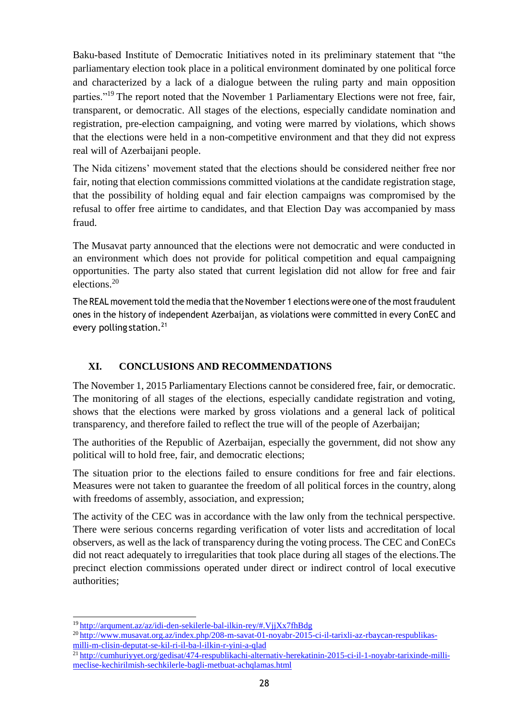Baku-based Institute of Democratic Initiatives noted in its preliminary statement that "the parliamentary election took place in a political environment dominated by one political force and characterized by a lack of a dialogue between the ruling party and main opposition parties."<sup>19</sup> The report noted that the November 1 Parliamentary Elections were not free, fair, transparent, or democratic. All stages of the elections, especially candidate nomination and registration, pre-election campaigning, and voting were marred by violations, which shows that the elections were held in a non-competitive environment and that they did not express real will of Azerbaijani people.

The Nida citizens' movement stated that the elections should be considered neither free nor fair, noting that election commissions committed violations at the candidate registration stage, that the possibility of holding equal and fair election campaigns was compromised by the refusal to offer free airtime to candidates, and that Election Day was accompanied by mass fraud.

The Musavat party announced that the elections were not democratic and were conducted in an environment which does not provide for political competition and equal campaigning opportunities. The party also stated that current legislation did not allow for free and fair elections.<sup>20</sup>

The REAL movement told the media that the November 1 elections were one of the most fraudulent ones in the history of independent Azerbaijan, as violations were committed in every ConEC and every polling station.<sup>21</sup>

# **XI. CONCLUSIONS AND RECOMMENDATIONS**

<span id="page-27-0"></span>The November 1, 2015 Parliamentary Elections cannot be considered free, fair, or democratic. The monitoring of all stages of the elections, especially candidate registration and voting, shows that the elections were marked by gross violations and a general lack of political transparency, and therefore failed to reflect the true will of the people of Azerbaijan;

The authorities of the Republic of Azerbaijan, especially the government, did not show any political will to hold free, fair, and democratic elections;

The situation prior to the elections failed to ensure conditions for free and fair elections. Measures were not taken to guarantee the freedom of all political forces in the country, along with freedoms of assembly, association, and expression;

The activity of the CEC was in accordance with the law only from the technical perspective. There were serious concerns regarding verification of voter lists and accreditation of local observers, as well as the lack of transparency during the voting process. The CEC and ConECs did not react adequately to irregularities that took place during all stages of the elections.The precinct election commissions operated under direct or indirect control of local executive authorities;

<sup>&</sup>lt;sup>19</sup><http://arqument.az/az/idi-den-sekilerle-bal-ilkin-rey/#.VjjXx7fhBdg>

<sup>20</sup> [http://www.musavat.org.az/index.php/208-m-savat-01-noyabr-2015-ci-il-tarixli-az-rbaycan-respublikas](http://www.musavat.org.az/index.php/208-m-savat-01-noyabr-2015-ci-il-tarixli-az-rbaycan-respublikas-milli-m-clisin-deputat-se-kil-ri-il-ba-l-ilkin-r-yini-a-qlad)[milli-m-clisin-deputat-se-kil-ri-il-ba-l-ilkin-r-yini-a-qlad](http://www.musavat.org.az/index.php/208-m-savat-01-noyabr-2015-ci-il-tarixli-az-rbaycan-respublikas-milli-m-clisin-deputat-se-kil-ri-il-ba-l-ilkin-r-yini-a-qlad)

<sup>21</sup> [http://cumhuriyyet.org/gedisat/474-respublikachi-alternativ-herekatinin-2015-ci-il-1-noyabr-tarixinde-milli](http://cumhuriyyet.org/gedisat/474-respublikachi-alternativ-herekatinin-2015-ci-il-1-noyabr-tarixinde-milli-meclise-kechirilmish-sechkilerle-bagli-metbuat-achqlamas.html)[meclise-kechirilmish-sechkilerle-bagli-metbuat-achqlamas.html](http://cumhuriyyet.org/gedisat/474-respublikachi-alternativ-herekatinin-2015-ci-il-1-noyabr-tarixinde-milli-meclise-kechirilmish-sechkilerle-bagli-metbuat-achqlamas.html)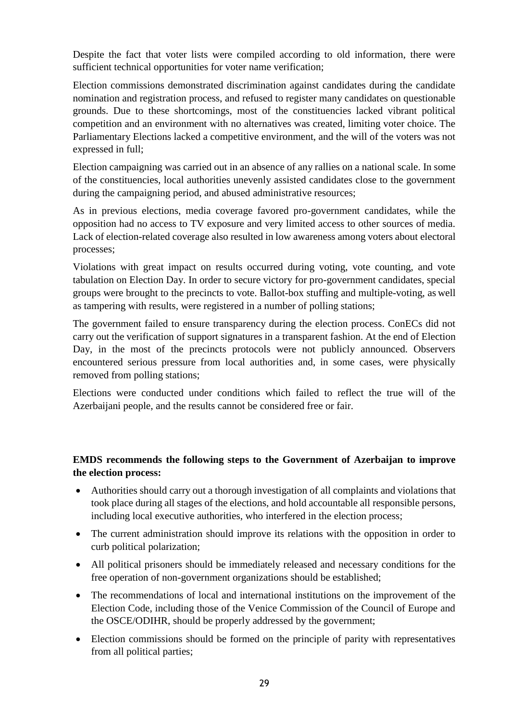Despite the fact that voter lists were compiled according to old information, there were sufficient technical opportunities for voter name verification;

Election commissions demonstrated discrimination against candidates during the candidate nomination and registration process, and refused to register many candidates on questionable grounds. Due to these shortcomings, most of the constituencies lacked vibrant political competition and an environment with no alternatives was created, limiting voter choice. The Parliamentary Elections lacked a competitive environment, and the will of the voters was not expressed in full;

Election campaigning was carried out in an absence of any rallies on a national scale. In some of the constituencies, local authorities unevenly assisted candidates close to the government during the campaigning period, and abused administrative resources;

As in previous elections, media coverage favored pro-government candidates, while the opposition had no access to TV exposure and very limited access to other sources of media. Lack of election-related coverage also resulted in low awareness among voters about electoral processes;

Violations with great impact on results occurred during voting, vote counting, and vote tabulation on Election Day. In order to secure victory for pro-government candidates, special groups were brought to the precincts to vote. Ballot-box stuffing and multiple-voting, as well as tampering with results, were registered in a number of polling stations;

The government failed to ensure transparency during the election process. ConECs did not carry out the verification of support signatures in a transparent fashion. At the end of Election Day, in the most of the precincts protocols were not publicly announced. Observers encountered serious pressure from local authorities and, in some cases, were physically removed from polling stations;

Elections were conducted under conditions which failed to reflect the true will of the Azerbaijani people, and the results cannot be considered free or fair.

#### **EMDS recommends the following steps to the Government of Azerbaijan to improve the election process:**

- Authorities should carry out a thorough investigation of all complaints and violations that took place during all stages of the elections, and hold accountable all responsible persons, including local executive authorities, who interfered in the election process;
- The current administration should improve its relations with the opposition in order to curb political polarization;
- All political prisoners should be immediately released and necessary conditions for the free operation of non-government organizations should be established;
- The recommendations of local and international institutions on the improvement of the Election Code, including those of the Venice Commission of the Council of Europe and the OSCE/ODIHR, should be properly addressed by the government;
- Election commissions should be formed on the principle of parity with representatives from all political parties;